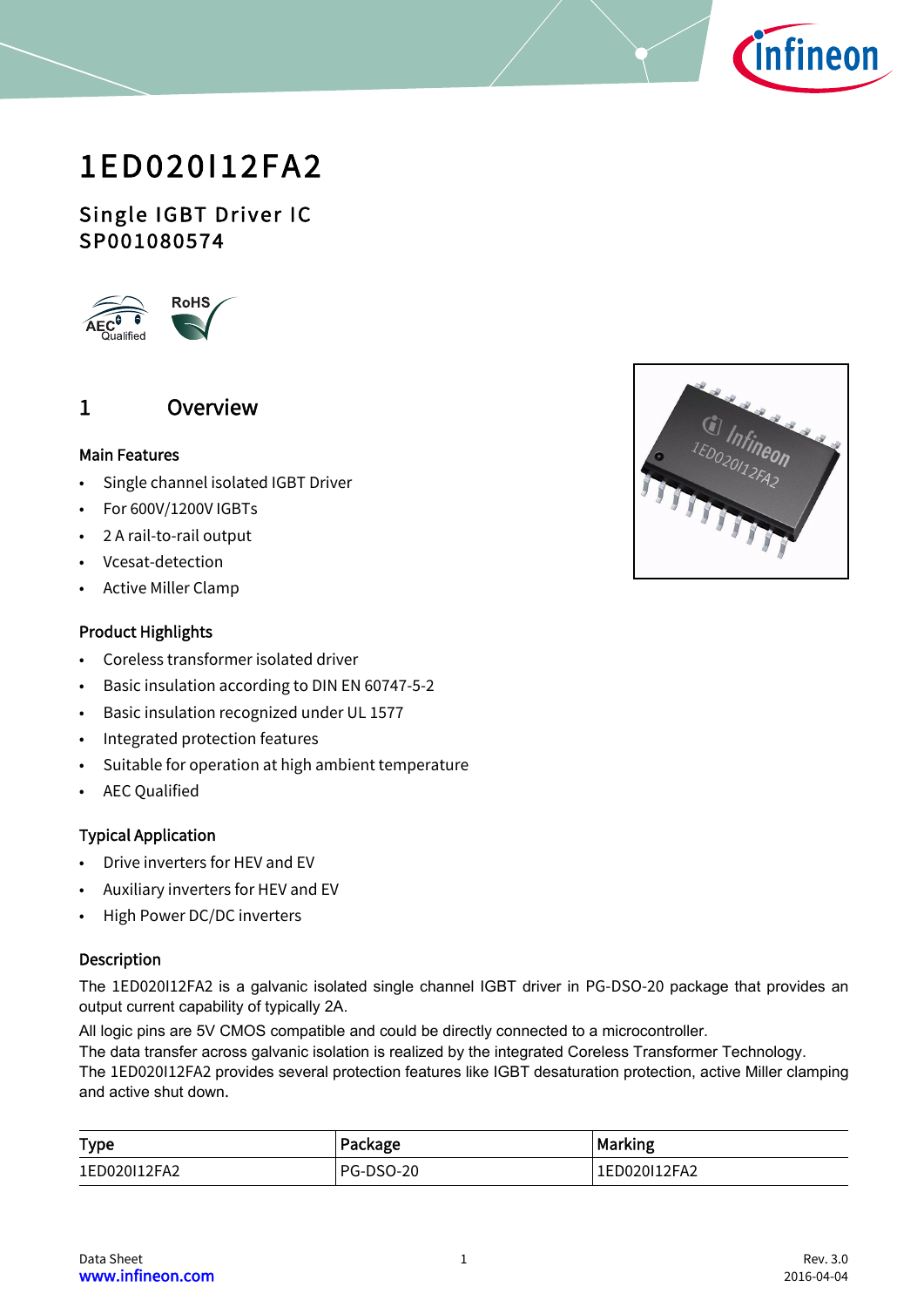

# 1ED020I12FA2

## Single IGBT Driver IC SP001080574



## <span id="page-0-0"></span>1 Overview

#### Main Features

- Single channel isolated IGBT Driver
- For 600V/1200V IGBTs
- 2 A rail-to-rail output
- Vcesat-detection
- Active Miller Clamp

#### Product Highlights

- Coreless transformer isolated driver
- Basic insulation according to DIN EN 60747-5-2
- Basic insulation recognized under UL 1577
- Integrated protection features
- Suitable for operation at high ambient temperature
- AEC Qualified

#### Typical Application

- Drive inverters for HEV and EV
- Auxiliary inverters for HEV and EV
- High Power DC/DC inverters

#### Description

The 1ED020I12FA2 is a galvanic isolated single channel IGBT driver in PG-DSO-20 package that provides an output current capability of typically 2A.

All logic pins are 5V CMOS compatible and could be directly connected to a microcontroller.

The data transfer across galvanic isolation is realized by the integrated Coreless Transformer Technology.

The 1ED020I12FA2 provides several protection features like IGBT desaturation protection, active Miller clamping and active shut down.

| <b>Type</b>  | Package          | Marking      |  |  |
|--------------|------------------|--------------|--|--|
| 1ED020I12FA2 | <b>PG-DSO-20</b> | 1ED020I12FA2 |  |  |

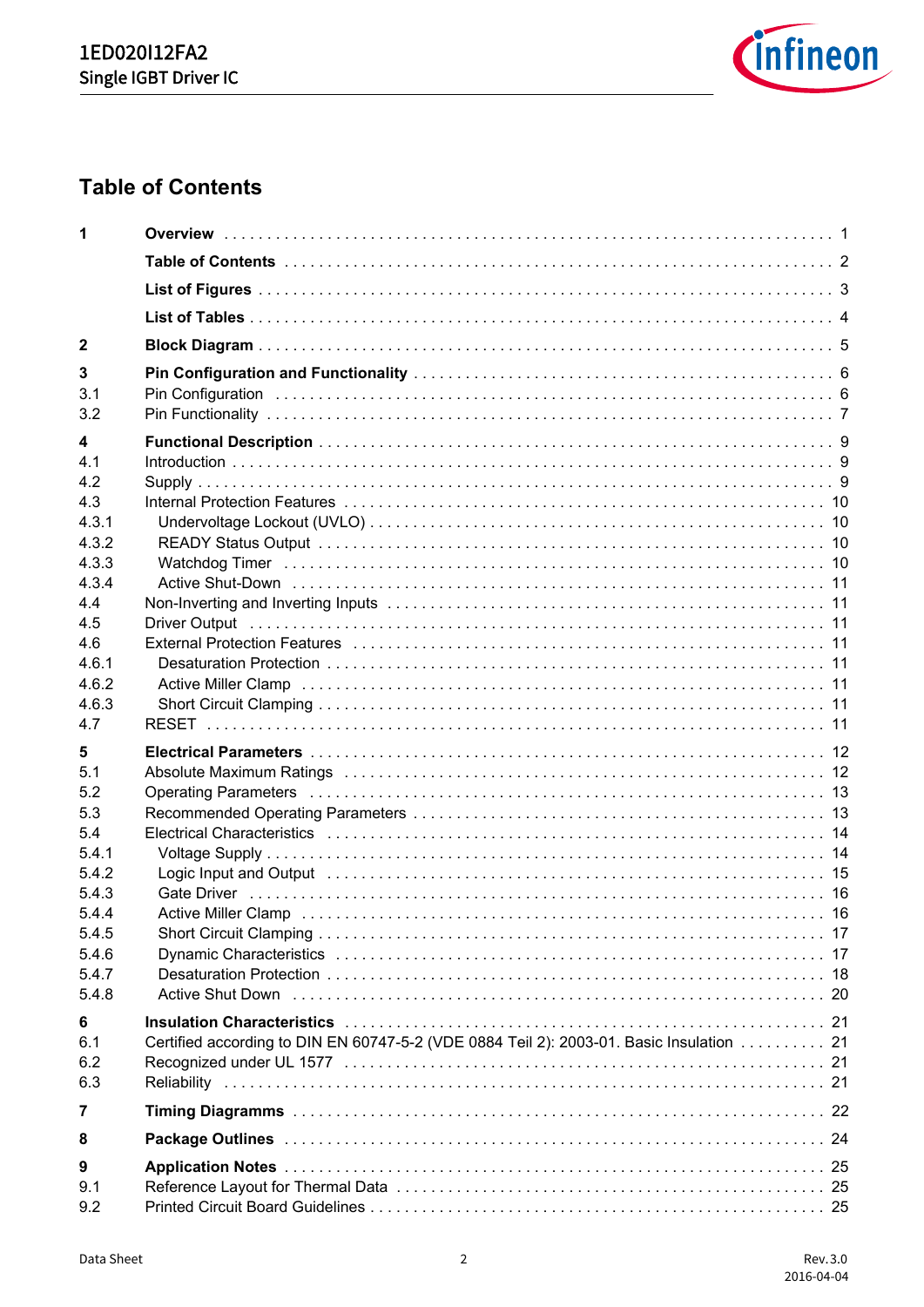

# <span id="page-1-0"></span>**Table of Contents**

| 1          |                                                                                                                                                                                                                                |  |
|------------|--------------------------------------------------------------------------------------------------------------------------------------------------------------------------------------------------------------------------------|--|
|            |                                                                                                                                                                                                                                |  |
|            |                                                                                                                                                                                                                                |  |
|            |                                                                                                                                                                                                                                |  |
| 2          |                                                                                                                                                                                                                                |  |
| 3          |                                                                                                                                                                                                                                |  |
| 3.1<br>3.2 | Pin Configuration (a) and the contract of the contract of the contract of the configuration (contract of the c                                                                                                                 |  |
| 4          |                                                                                                                                                                                                                                |  |
| 4.1        |                                                                                                                                                                                                                                |  |
| 4.2        |                                                                                                                                                                                                                                |  |
| 4.3        |                                                                                                                                                                                                                                |  |
| 4.3.1      |                                                                                                                                                                                                                                |  |
| 4.3.2      |                                                                                                                                                                                                                                |  |
| 4.3.3      |                                                                                                                                                                                                                                |  |
| 4.3.4      |                                                                                                                                                                                                                                |  |
| 4.4        |                                                                                                                                                                                                                                |  |
| 4.5        |                                                                                                                                                                                                                                |  |
| 4.6        | External Protection Features (and according to the control of the control of the fitting of the control of the                                                                                                                 |  |
| 4.6.1      |                                                                                                                                                                                                                                |  |
| 4.6.2      |                                                                                                                                                                                                                                |  |
| 4.6.3      |                                                                                                                                                                                                                                |  |
| 4.7        |                                                                                                                                                                                                                                |  |
| 5          |                                                                                                                                                                                                                                |  |
| 5.1        | Absolute Maximum Ratings (and according to the control of the control of the control of the control of the control of the control of the control of the control of the control of the control of the control of the control of |  |
| 5.2        |                                                                                                                                                                                                                                |  |
| 5.3        |                                                                                                                                                                                                                                |  |
| 5.4        |                                                                                                                                                                                                                                |  |
| 5.4.1      |                                                                                                                                                                                                                                |  |
| 5.4.2      |                                                                                                                                                                                                                                |  |
| 5.4.3      |                                                                                                                                                                                                                                |  |
| 5.4.4      |                                                                                                                                                                                                                                |  |
| 5.4.5      |                                                                                                                                                                                                                                |  |
| 5.4.6      |                                                                                                                                                                                                                                |  |
| 5.4.7      |                                                                                                                                                                                                                                |  |
| 5.4.8      | Active Shut Down (all activities in the contract of the contract of the contract of the contract of the contract of the contract of the contract of the contract of the contract of the contract of the contract of the contra |  |
| 6          |                                                                                                                                                                                                                                |  |
| 6.1        | Certified according to DIN EN 60747-5-2 (VDE 0884 Teil 2): 2003-01. Basic Insulation 21                                                                                                                                        |  |
| 6.2        |                                                                                                                                                                                                                                |  |
| 6.3        |                                                                                                                                                                                                                                |  |
| 7          |                                                                                                                                                                                                                                |  |
| 8          |                                                                                                                                                                                                                                |  |
| 9          |                                                                                                                                                                                                                                |  |
| 9.1        |                                                                                                                                                                                                                                |  |
| 9.2        |                                                                                                                                                                                                                                |  |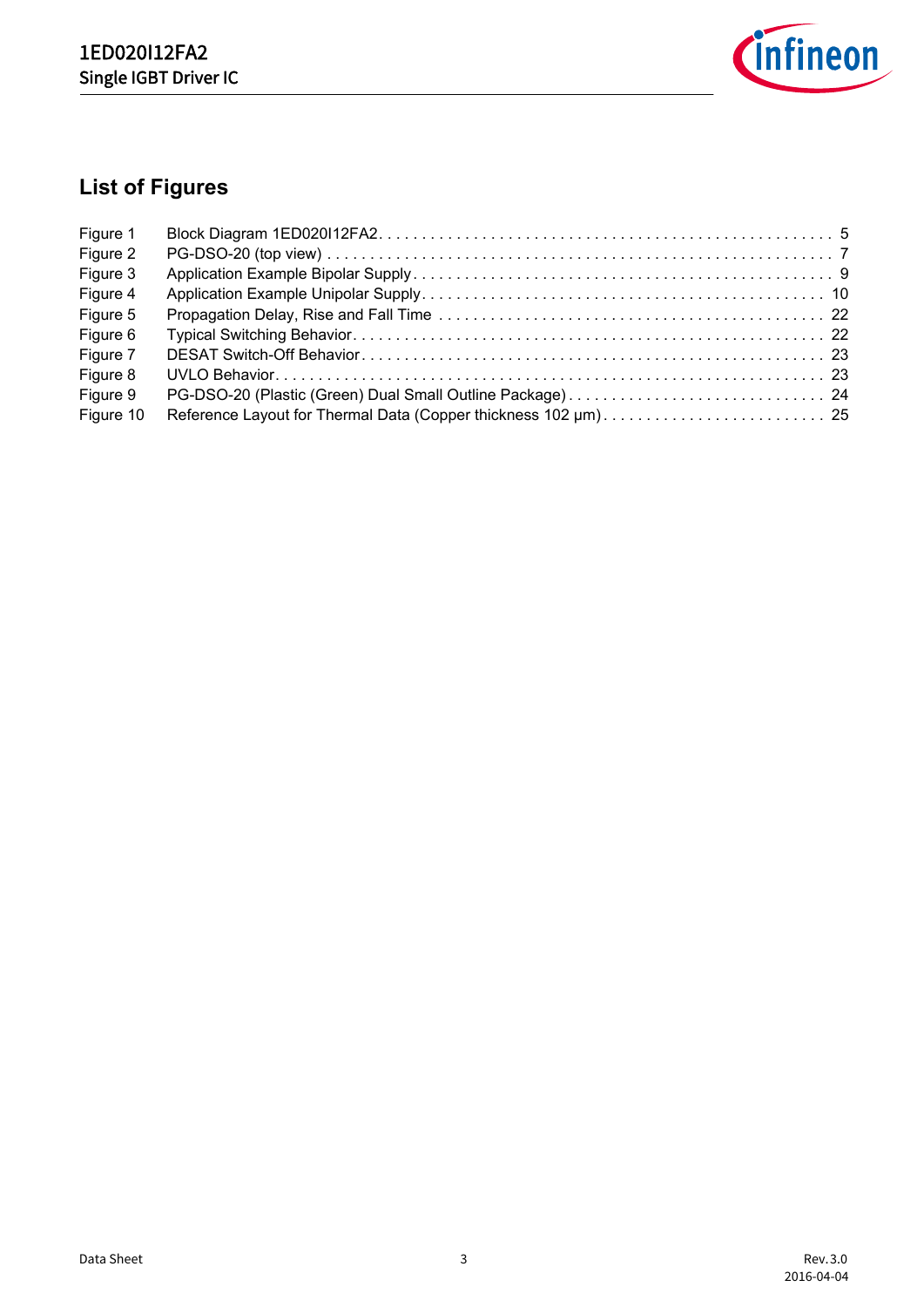

# <span id="page-2-0"></span>**List of Figures**

| Figure 1  |  |
|-----------|--|
| Figure 2  |  |
| Figure 3  |  |
| Figure 4  |  |
| Figure 5  |  |
| Figure 6  |  |
| Figure 7  |  |
| Figure 8  |  |
| Figure 9  |  |
| Figure 10 |  |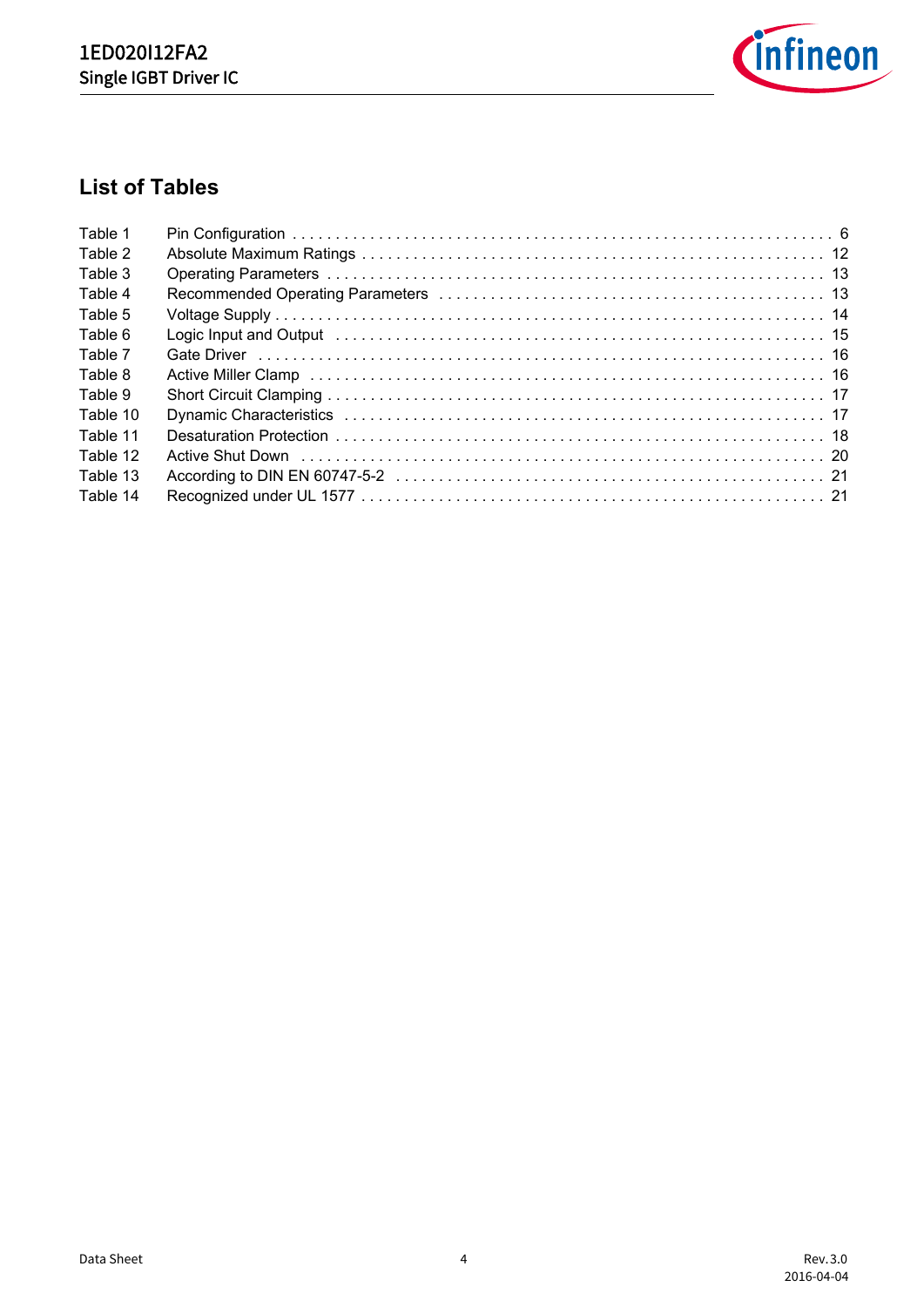

# <span id="page-3-0"></span>**List of Tables**

| Table 1  |                                                                                                                                                                                                                                |  |
|----------|--------------------------------------------------------------------------------------------------------------------------------------------------------------------------------------------------------------------------------|--|
| Table 2  |                                                                                                                                                                                                                                |  |
| Table 3  |                                                                                                                                                                                                                                |  |
| Table 4  |                                                                                                                                                                                                                                |  |
| Table 5  |                                                                                                                                                                                                                                |  |
| Table 6  | Logic Input and Output (and according to the contract of the contract of the contract of the contract of the c                                                                                                                 |  |
| Table 7  |                                                                                                                                                                                                                                |  |
| Table 8  |                                                                                                                                                                                                                                |  |
| Table 9  |                                                                                                                                                                                                                                |  |
| Table 10 |                                                                                                                                                                                                                                |  |
| Table 11 |                                                                                                                                                                                                                                |  |
| Table 12 | Active Shut Down (and the contract of the contract of the contract of the contract of the contract of the contract of the contract of the contract of the contract of the contract of the contract of the contract of the cont |  |
| Table 13 |                                                                                                                                                                                                                                |  |
| Table 14 |                                                                                                                                                                                                                                |  |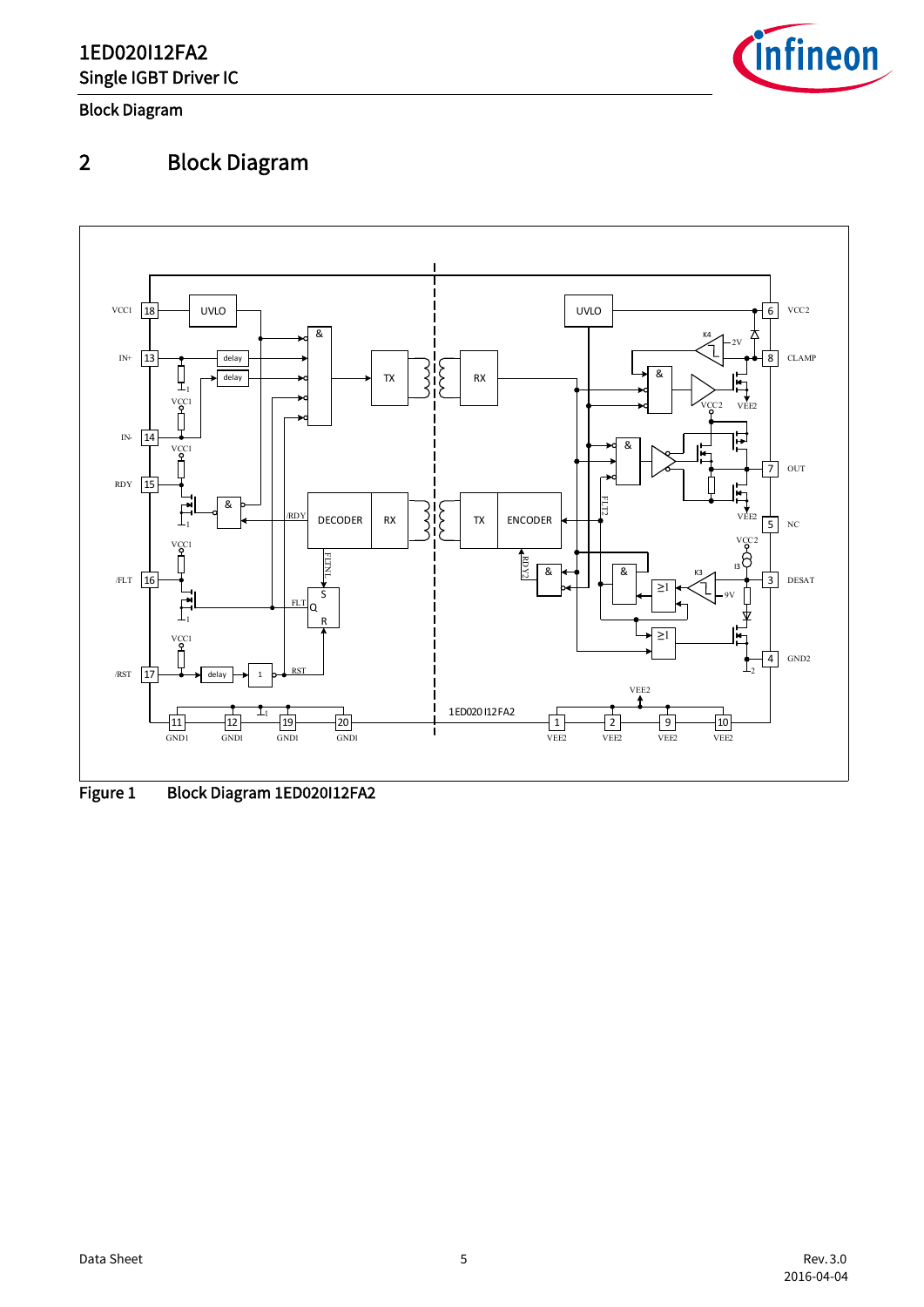

Block Diagram

# <span id="page-4-0"></span>2 Block Diagram



<span id="page-4-2"></span><span id="page-4-1"></span>Figure 1 Block Diagram 1ED020112FA2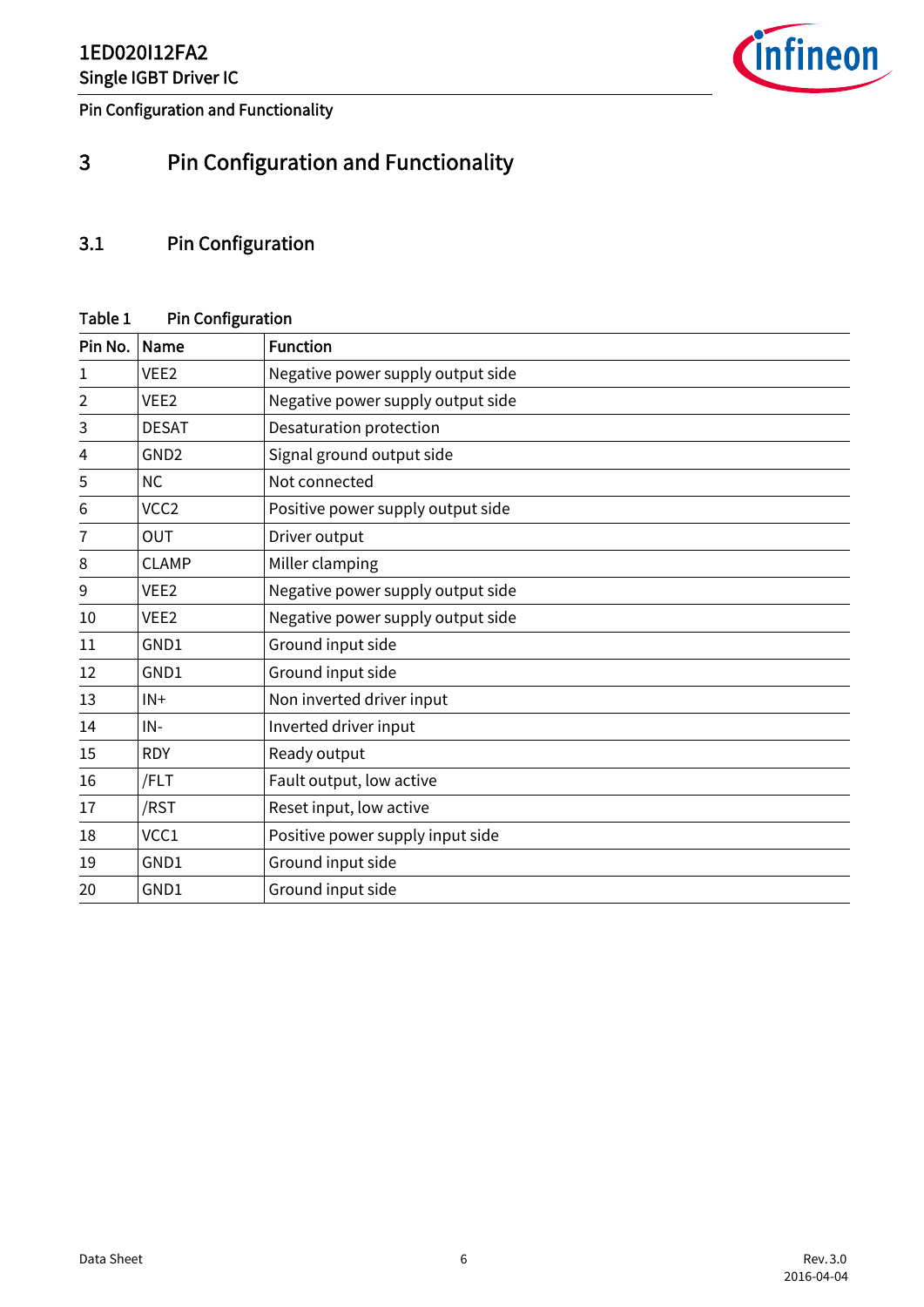

Pin Configuration and Functionality

# <span id="page-5-0"></span>3 Pin Configuration and Functionality

## <span id="page-5-1"></span>3.1 Pin Configuration

### <span id="page-5-2"></span>Table 1 Pin Configuration

| Pin No. | Name             | <b>Function</b>                   |
|---------|------------------|-----------------------------------|
| 1       | VEE <sub>2</sub> | Negative power supply output side |
| 2       | VEE <sub>2</sub> | Negative power supply output side |
| 3       | <b>DESAT</b>     | Desaturation protection           |
| 4       | GND <sub>2</sub> | Signal ground output side         |
| 5       | <b>NC</b>        | Not connected                     |
| 6       | VCC <sub>2</sub> | Positive power supply output side |
| 7       | <b>OUT</b>       | Driver output                     |
| 8       | <b>CLAMP</b>     | Miller clamping                   |
| 9       | VEE <sub>2</sub> | Negative power supply output side |
| 10      | VEE <sub>2</sub> | Negative power supply output side |
| 11      | GND1             | Ground input side                 |
| 12      | GND1             | Ground input side                 |
| 13      | $IN +$           | Non inverted driver input         |
| 14      | $IN -$           | Inverted driver input             |
| 15      | <b>RDY</b>       | Ready output                      |
| 16      | /FLT             | Fault output, low active          |
| 17      | /RST             | Reset input, low active           |
| 18      | VCC1             | Positive power supply input side  |
| 19      | GND1             | Ground input side                 |
| 20      | GND1             | Ground input side                 |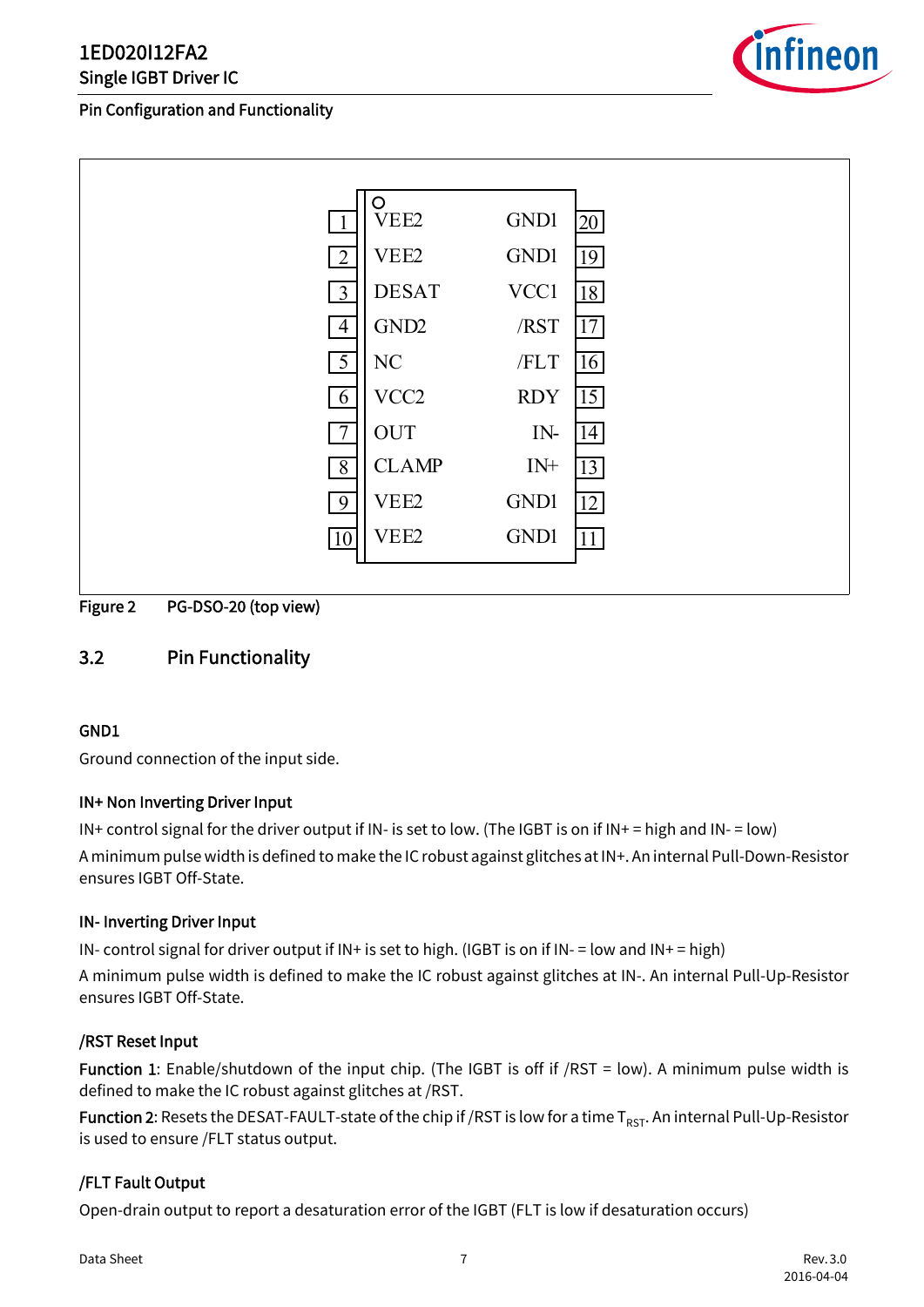#### Pin Configuration and Functionality



|                | O<br>VEE2        | GND1        | 20 |
|----------------|------------------|-------------|----|
| $\overline{2}$ | VEE <sub>2</sub> | <b>GND1</b> | 19 |
| $\overline{3}$ | <b>DESAT</b>     | VCC1        | 18 |
| $\overline{4}$ | GND <sub>2</sub> | /RST        | 17 |
| $\overline{5}$ | NC               | /FLT        | 16 |
| 6              | VCC <sub>2</sub> | <b>RDY</b>  | 15 |
| $\overline{7}$ | <b>OUT</b>       | IN-         | 14 |
| $\overline{8}$ | <b>CLAMP</b>     | $IN+$       | 13 |
| 9              | VEE2             | <b>GND1</b> | 12 |
| 10             | VEE <sub>2</sub> | <b>GND1</b> | 11 |
|                |                  |             |    |

<span id="page-6-1"></span>Figure 2 PG-DSO-20 (top view)

## <span id="page-6-0"></span>3.2 Pin Functionality

#### GND1

Ground connection of the input side.

#### IN+ Non Inverting Driver Input

IN+ control signal for the driver output if IN- is set to low. (The IGBT is on if IN+ = high and IN- = low) A minimum pulse width is defined to make the IC robust against glitches at IN+. An internal Pull-Down-Resistor ensures IGBT Off-State.

#### IN- Inverting Driver Input

IN- control signal for driver output if  $IN+$  is set to high. (IGBT is on if  $IN-$  = low and  $IN+$  = high) A minimum pulse width is defined to make the IC robust against glitches at IN-. An internal Pull-Up-Resistor ensures IGBT Off-State.

#### /RST Reset Input

Function 1: Enable/shutdown of the input chip. (The IGBT is off if /RST = low). A minimum pulse width is defined to make the IC robust against glitches at /RST.

**Function 2:** Resets the DESAT-FAULT-state of the chip if /RST is low for a time  $T_{RST}$ . An internal Pull-Up-Resistor is used to ensure /FLT status output.

#### /FLT Fault Output

Open-drain output to report a desaturation error of the IGBT (FLT is low if desaturation occurs)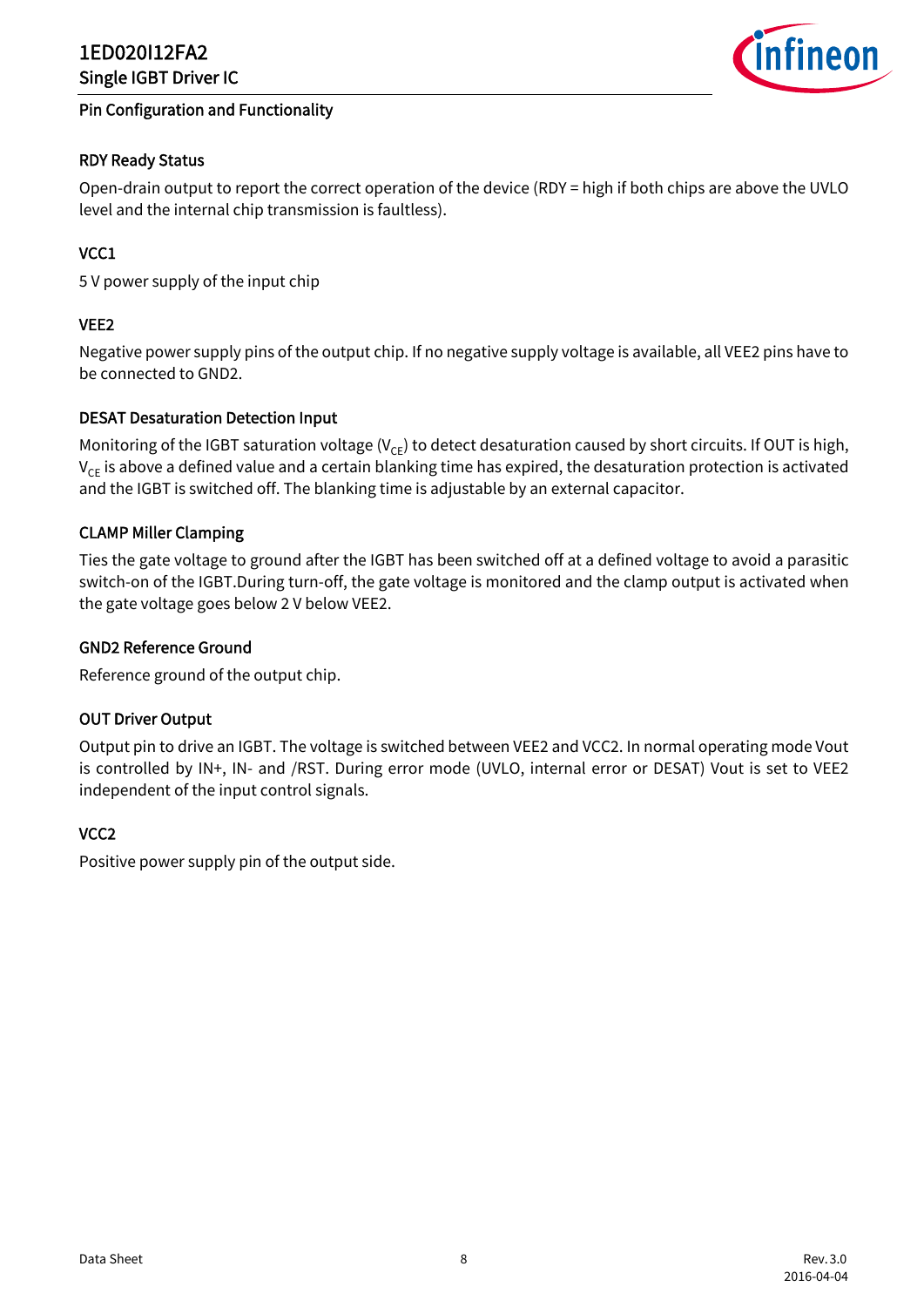



#### RDY Ready Status

Open-drain output to report the correct operation of the device (RDY = high if both chips are above the UVLO level and the internal chip transmission is faultless).

#### VCC1

5 V power supply of the input chip

#### VEE2

Negative power supply pins of the output chip. If no negative supply voltage is available, all VEE2 pins have to be connected to GND2.

#### DESAT Desaturation Detection Input

Monitoring of the IGBT saturation voltage ( $V_{CF}$ ) to detect desaturation caused by short circuits. If OUT is high,  $V_{CF}$  is above a defined value and a certain blanking time has expired, the desaturation protection is activated and the IGBT is switched off. The blanking time is adjustable by an external capacitor.

#### CLAMP Miller Clamping

Ties the gate voltage to ground after the IGBT has been switched off at a defined voltage to avoid a parasitic switch-on of the IGBT.During turn-off, the gate voltage is monitored and the clamp output is activated when the gate voltage goes below 2 V below VEE2.

#### GND2 Reference Ground

Reference ground of the output chip.

#### OUT Driver Output

Output pin to drive an IGBT. The voltage is switched between VEE2 and VCC2. In normal operating mode Vout is controlled by IN+, IN- and /RST. During error mode (UVLO, internal error or DESAT) Vout is set to VEE2 independent of the input control signals.

#### VCC2

Positive power supply pin of the output side.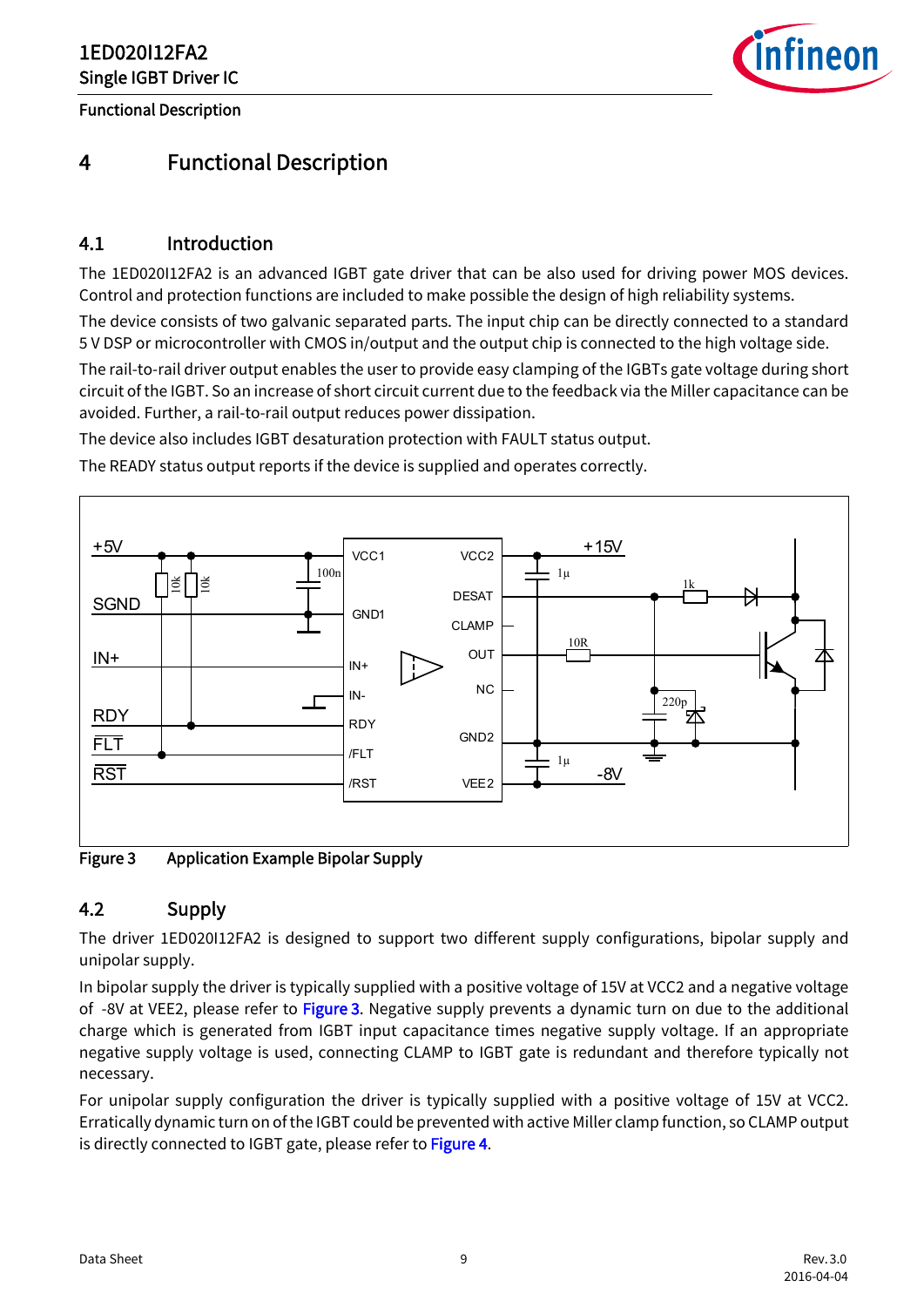Functional Description



# <span id="page-8-0"></span>4 Functional Description

## <span id="page-8-1"></span>4.1 Introduction

The 1ED020I12FA2 is an advanced IGBT gate driver that can be also used for driving power MOS devices. Control and protection functions are included to make possible the design of high reliability systems.

The device consists of two galvanic separated parts. The input chip can be directly connected to a standard 5 V DSP or microcontroller with CMOS in/output and the output chip is connected to the high voltage side.

The rail-to-rail driver output enables the user to provide easy clamping of the IGBTs gate voltage during short circuit of the IGBT. So an increase of short circuit current due to the feedback via the Miller capacitance can be avoided. Further, a rail-to-rail output reduces power dissipation.

The device also includes IGBT desaturation protection with FAULT status output.

The READY status output reports if the device is supplied and operates correctly.



<span id="page-8-3"></span>Figure 3 Application Example Bipolar Supply

#### <span id="page-8-2"></span>4.2 Supply

The driver 1ED020I12FA2 is designed to support two different supply configurations, bipolar supply and unipolar supply.

In bipolar supply the driver is typically supplied with a positive voltage of 15V at VCC2 and a negative voltage of -8V at VEE2, please refer to [Figure 3.](#page-8-3) Negative supply prevents a dynamic turn on due to the additional charge which is generated from IGBT input capacitance times negative supply voltage. If an appropriate negative supply voltage is used, connecting CLAMP to IGBT gate is redundant and therefore typically not necessary.

For unipolar supply configuration the driver is typically supplied with a positive voltage of 15V at VCC2. Erratically dynamic turn on of the IGBT could be prevented with active Miller clamp function, so CLAMP output is directly connected to IGBT gate, please refer to [Figure 4](#page-9-4).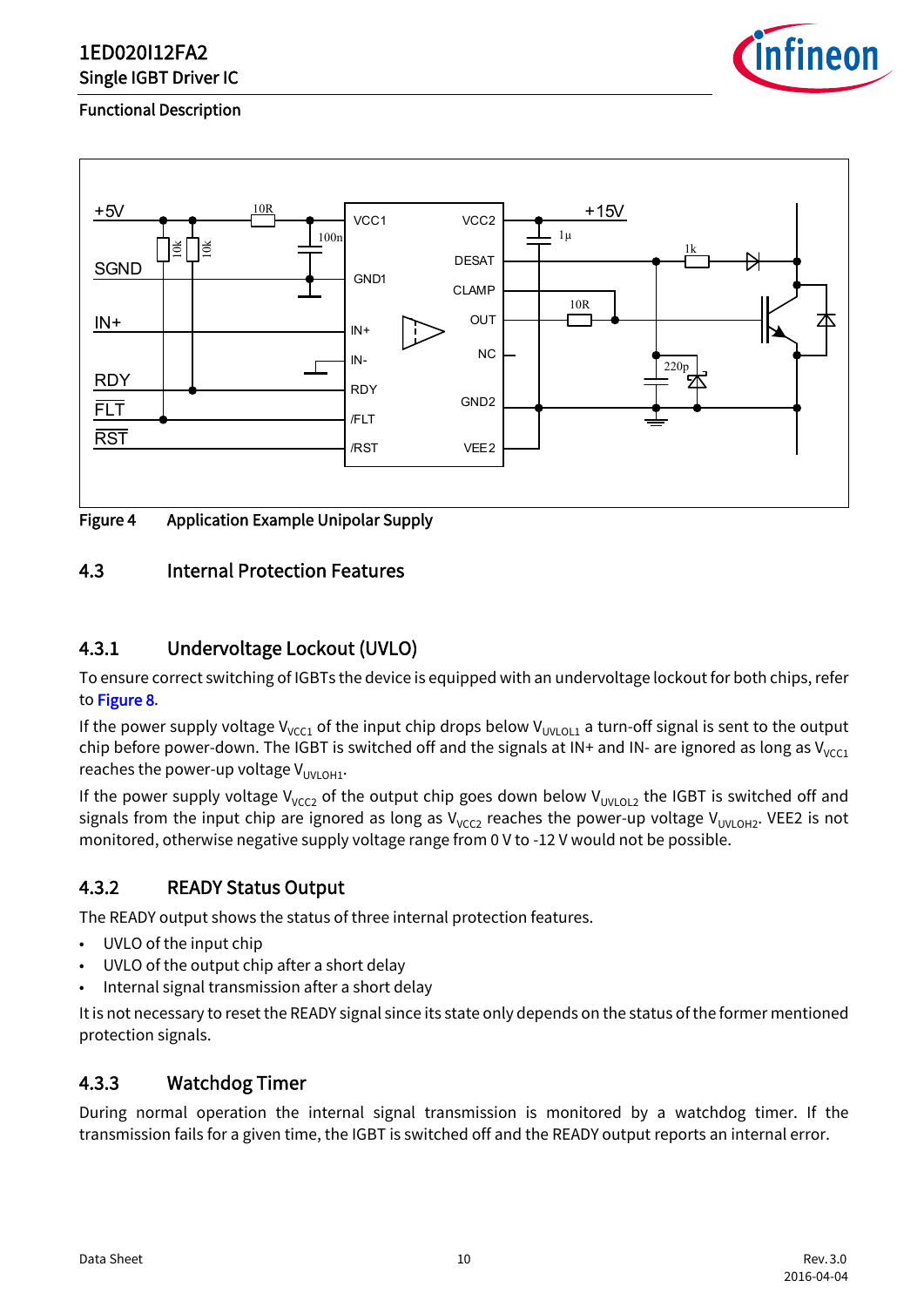

#### Functional Description



<span id="page-9-4"></span>

## <span id="page-9-0"></span>4.3 Internal Protection Features

## <span id="page-9-1"></span>4.3.1 Undervoltage Lockout (UVLO)

To ensure correct switching of IGBTs the device is equipped with an undervoltage lockout for both chips, refer to [Figure 8](#page-22-1).

If the power supply voltage V<sub>VCC1</sub> of the input chip drops below V<sub>UVLOL1</sub> a turn-off signal is sent to the output chip before power-down. The IGBT is switched off and the signals at IN+ and IN- are ignored as long as  $V_{VCC1}$ reaches the power-up voltage  $V_{UUOMOHI}$ .

If the power supply voltage V<sub>VCC2</sub> of the output chip goes down below V<sub>UVLOL2</sub> the IGBT is switched off and signals from the input chip are ignored as long as  $V_{VCC2}$  reaches the power-up voltage  $V_{UVLOH2}$ . VEE2 is not monitored, otherwise negative supply voltage range from 0 V to -12 V would not be possible.

#### <span id="page-9-2"></span>4.3.2 READY Status Output

The READY output shows the status of three internal protection features.

- UVLO of the input chip
- UVLO of the output chip after a short delay
- Internal signal transmission after a short delay

It is not necessary to reset the READY signal since its state only depends on the status of the former mentioned protection signals.

## <span id="page-9-3"></span>4.3.3 Watchdog Timer

During normal operation the internal signal transmission is monitored by a watchdog timer. If the transmission fails for a given time, the IGBT is switched off and the READY output reports an internal error.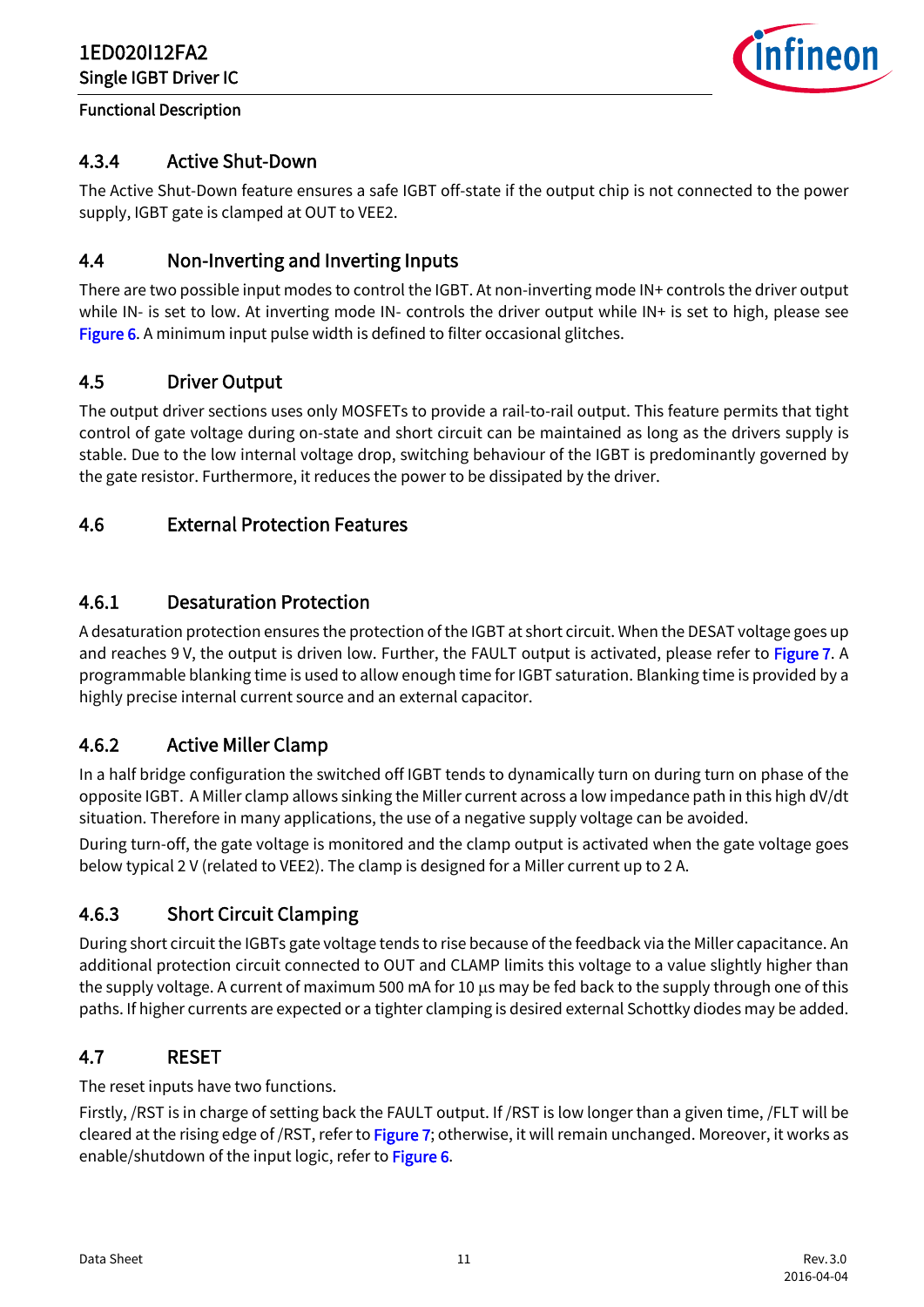

#### Functional Description

## <span id="page-10-0"></span>4.3.4 Active Shut-Down

The Active Shut-Down feature ensures a safe IGBT off-state if the output chip is not connected to the power supply, IGBT gate is clamped at OUT to VEE2.

## <span id="page-10-1"></span>4.4 Non-Inverting and Inverting Inputs

There are two possible input modes to control the IGBT. At non-inverting mode IN+ controls the driver output while IN- is set to low. At inverting mode IN- controls the driver output while IN+ is set to high, please see [Figure 6.](#page-21-2) A minimum input pulse width is defined to filter occasional glitches.

## <span id="page-10-2"></span>4.5 Driver Output

The output driver sections uses only MOSFETs to provide a rail-to-rail output. This feature permits that tight control of gate voltage during on-state and short circuit can be maintained as long as the drivers supply is stable. Due to the low internal voltage drop, switching behaviour of the IGBT is predominantly governed by the gate resistor. Furthermore, it reduces the power to be dissipated by the driver.

## <span id="page-10-3"></span>4.6 External Protection Features

## <span id="page-10-4"></span>4.6.1 Desaturation Protection

A desaturation protection ensures the protection of the IGBT at short circuit. When the DESAT voltage goes up and reaches 9 V, the output is driven low. Further, the FAULT output is activated, please refer to [Figure 7.](#page-22-0) A programmable blanking time is used to allow enough time for IGBT saturation. Blanking time is provided by a highly precise internal current source and an external capacitor.

## <span id="page-10-5"></span>4.6.2 Active Miller Clamp

In a half bridge configuration the switched off IGBT tends to dynamically turn on during turn on phase of the opposite IGBT. A Miller clamp allows sinking the Miller current across a low impedance path in this high dV/dt situation. Therefore in many applications, the use of a negative supply voltage can be avoided.

During turn-off, the gate voltage is monitored and the clamp output is activated when the gate voltage goes below typical 2 V (related to VEE2). The clamp is designed for a Miller current up to 2 A.

## <span id="page-10-6"></span>4.6.3 Short Circuit Clamping

During short circuit the IGBTs gate voltage tends to rise because of the feedback via the Miller capacitance. An additional protection circuit connected to OUT and CLAMP limits this voltage to a value slightly higher than the supply voltage. A current of maximum 500 mA for 10 μs may be fed back to the supply through one of this paths. If higher currents are expected or a tighter clamping is desired external Schottky diodes may be added.

## <span id="page-10-7"></span>4.7 RESET

The reset inputs have two functions.

Firstly, /RST is in charge of setting back the FAULT output. If /RST is low longer than a given time, /FLT will be cleared at the rising edge of /RST, refer to [Figure 7;](#page-22-0) otherwise, it will remain unchanged. Moreover, it works as enable/shutdown of the input logic, refer to [Figure 6](#page-21-2).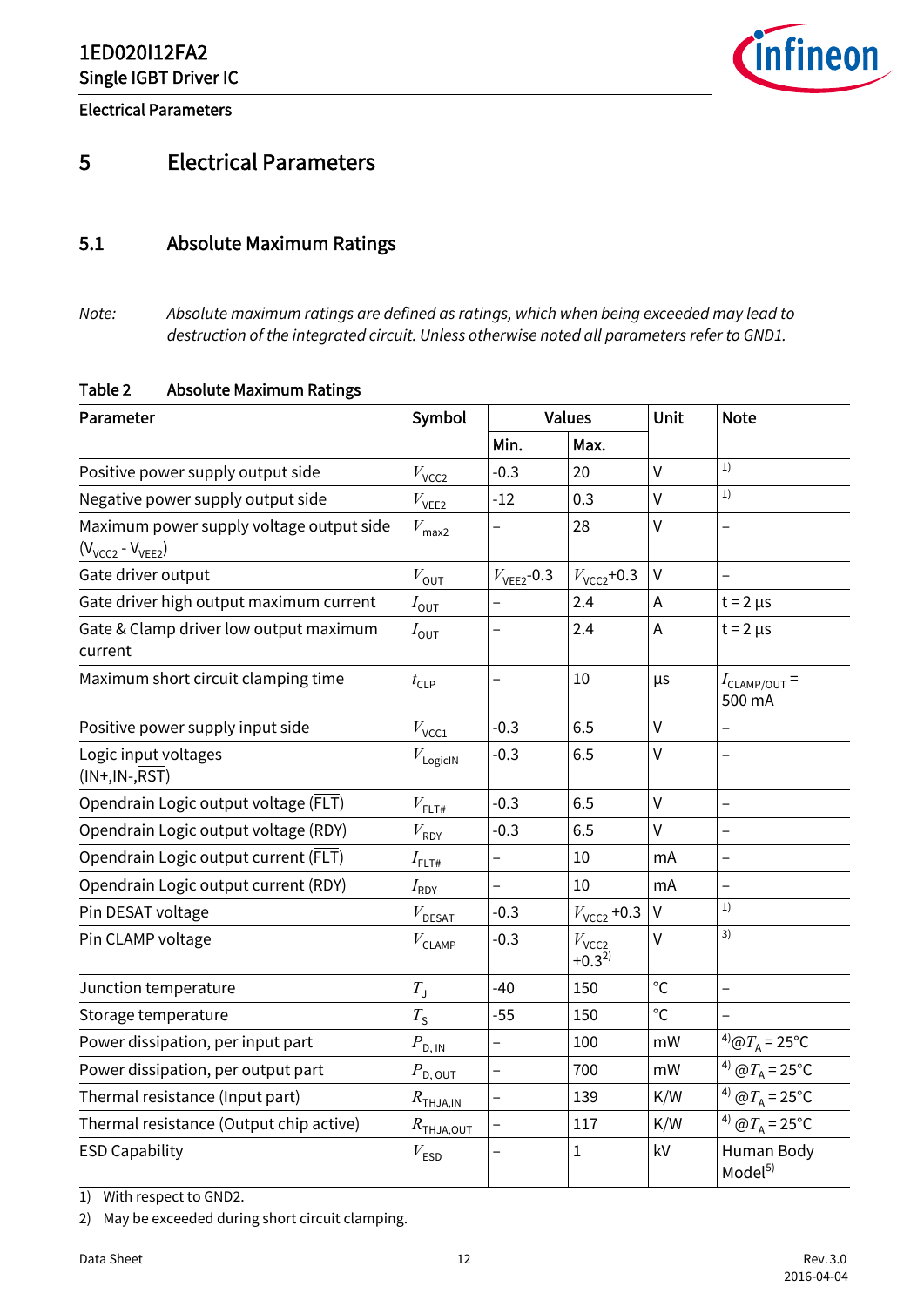<span id="page-11-3"></span>*infineon* 

Electrical Parameters

## <span id="page-11-0"></span>5 Electrical Parameters

#### <span id="page-11-1"></span>5.1 Absolute Maximum Ratings

*Note: Absolute maximum ratings are defined as ratings, which when being exceeded may lead to destruction of the integrated circuit. Unless otherwise noted all parameters refer to GND1.*

#### <span id="page-11-5"></span><span id="page-11-2"></span>Table 2 Absolute Maximum Ratings

| Parameter                                                           | Symbol                          | <b>Values</b>            |                                 | Unit         | <b>Note</b>                                |  |
|---------------------------------------------------------------------|---------------------------------|--------------------------|---------------------------------|--------------|--------------------------------------------|--|
|                                                                     |                                 | Min.                     | Max.                            |              |                                            |  |
| Positive power supply output side                                   | $V_{\rm VCC2}$                  | $-0.3$                   | 20                              | $\mathsf{V}$ | 1)                                         |  |
| Negative power supply output side                                   | $V_{\text{VEE2}}$               | $-12$                    | 0.3                             | $\mathsf{V}$ | 1)                                         |  |
| Maximum power supply voltage output side<br>$(V_{VCC2} - V_{VEE2})$ | $V_{\text{max2}}$               |                          | 28                              | V            |                                            |  |
| Gate driver output                                                  | $V_{\text{OUT}}$                | $V_{VEE2}$ -0.3          | $V_{\text{VCC2}}$ +0.3          | $\mathsf{V}$ | $\overline{a}$                             |  |
| Gate driver high output maximum current                             | $I_{\mathsf{OUT}}$              |                          | 2.4                             | A            | $t = 2 \mu s$                              |  |
| Gate & Clamp driver low output maximum<br>current                   | $I_{\mathsf{OUT}}$              |                          | 2.4                             | A            | $t = 2 \mu s$                              |  |
| Maximum short circuit clamping time                                 | $t_{\text{CLP}}$                | $\overline{\phantom{0}}$ | 10                              | μs           | $I_{\text{CLAMP/OUT}}$ =<br>500 mA         |  |
| Positive power supply input side                                    | $V_{\text{VCC1}}$               | $-0.3$                   | 6.5                             | V            |                                            |  |
| Logic input voltages<br>$(IN+, IN-, RST)$                           | $V_{\text{LogicIN}}$            | $-0.3$                   | 6.5                             | V            |                                            |  |
| Opendrain Logic output voltage (FLT)                                | $V_{\rm{FLT\#}}$                | $-0.3$                   | 6.5                             | V            | $\overline{\phantom{0}}$                   |  |
| Opendrain Logic output voltage (RDY)                                | $V_{\sf RDY}$                   | $-0.3$                   | 6.5                             | $\mathsf{V}$ |                                            |  |
| Opendrain Logic output current (FLT)                                | $I_{\mathsf{FLT}\#}$            |                          | 10                              | mA           |                                            |  |
| Opendrain Logic output current (RDY)                                | $I_\mathsf{RDY}$                | $\overline{a}$           | 10                              | mA           |                                            |  |
| Pin DESAT voltage                                                   | $V_{\rm DESAT}$                 | $-0.3$                   | $V_{\text{VCC2}}$ +0.3          | $\mathsf{V}$ | 1)                                         |  |
| Pin CLAMP voltage                                                   | $V_{\text{CLAMP}}$              | $-0.3$                   | $V_{\text{VCC2}}$<br>$+0.3^{2}$ | $\vee$       | 3)                                         |  |
| Junction temperature                                                | $T_{\rm J}$                     | $-40$                    | 150                             | $^{\circ}$ C | $\overline{\phantom{0}}$                   |  |
| Storage temperature                                                 | $T_{\rm S}$                     | $-55$                    | 150                             | $^{\circ}$ C |                                            |  |
| Power dissipation, per input part                                   | $P_{\rm D,\underline{IN}}$      | -                        | 100                             | mW           | <sup>4</sup> ) $\omega T_A = 25$ °C        |  |
| Power dissipation, per output part                                  | $P_{\mathsf{D},\,\mathsf{OUT}}$ | $\overline{a}$           | 700                             | mW           | <sup>4)</sup> $\omega T_A = 25$ °C         |  |
| Thermal resistance (Input part)                                     | $R_{\mathsf{THJA,IN}}$          | <sup>-</sup>             | 139                             | K/W          | <sup>4)</sup> $\omega T_{A} = 25^{\circ}C$ |  |
| Thermal resistance (Output chip active)                             | $R$ <sub>thja,out</sub>         | -                        | 117                             | K/W          | <sup>4)</sup> $\omega T_A = 25$ °C         |  |
| <b>ESD Capability</b>                                               | $V_{ESD}$                       |                          | $\mathbf{1}$                    | kV           | Human Body<br>Model <sup>5)</sup>          |  |

<span id="page-11-4"></span>1) With respect to GND2.

2) May be exceeded during short circuit clamping.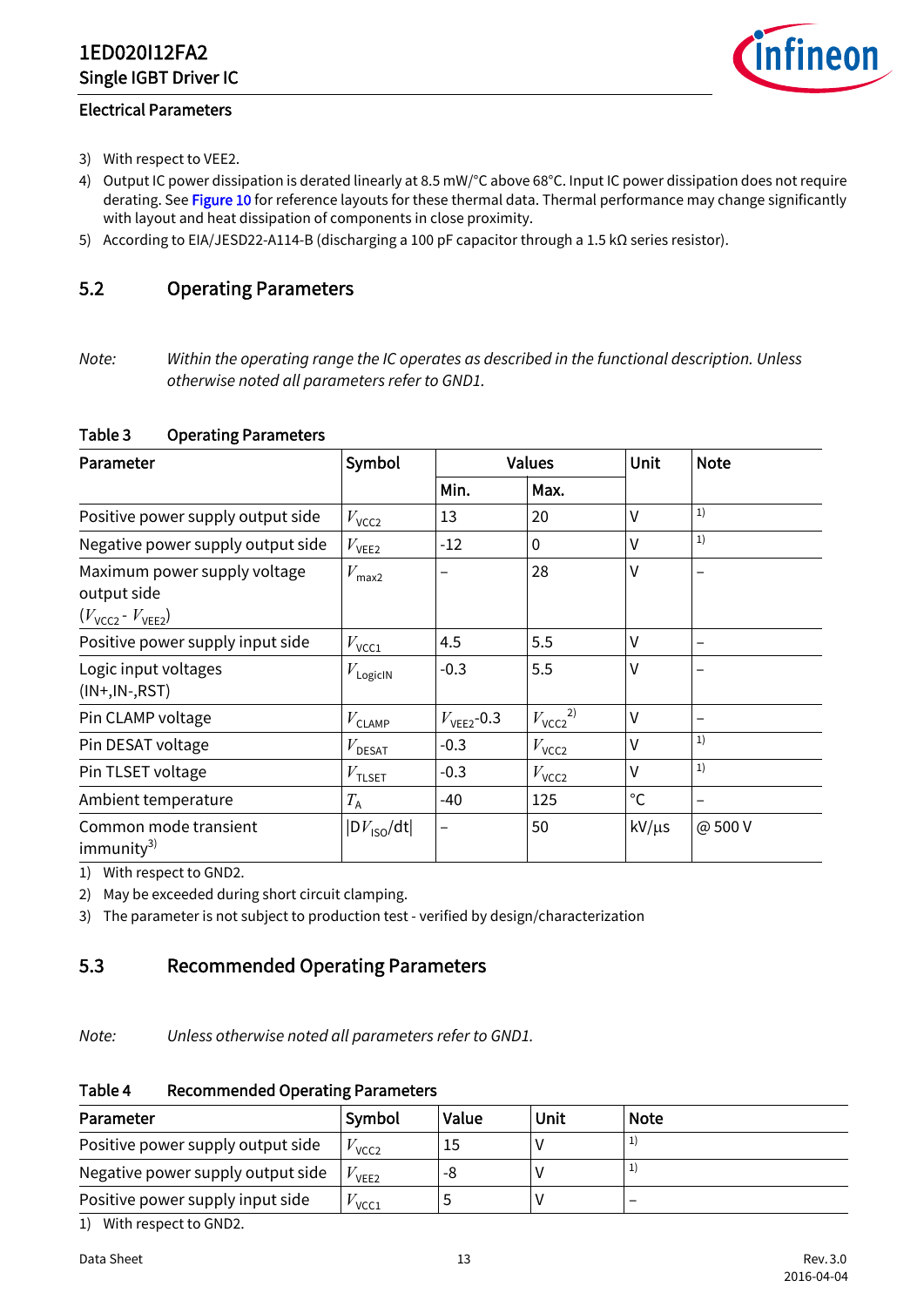<span id="page-12-5"></span>

#### Electrical Parameters

- 3) With respect to VEE2.
- 4) Output IC power dissipation is derated linearly at 8.5 mW/°C above 68°C. Input IC power dissipation does not require derating. See [Figure 10](#page-24-3) for reference layouts for these thermal data. Thermal performance may change significantly with layout and heat dissipation of components in close proximity.
- 5) According to EIA/JESD22-A114-B (discharging a 100 pF capacitor through a 1.5 kΩ series resistor).

## <span id="page-12-0"></span>5.2 Operating Parameters

*Note: Within the operating range the IC operates as described in the functional description. Unless otherwise noted all parameters refer to GND1.*

#### <span id="page-12-6"></span><span id="page-12-2"></span>Table 3 Operating Parameters

| Parameter                                                                            | Symbol                 |                        | <b>Values</b>          | <b>Unit</b>  | <b>Note</b>              |
|--------------------------------------------------------------------------------------|------------------------|------------------------|------------------------|--------------|--------------------------|
|                                                                                      |                        | Min.                   | Max.                   |              |                          |
| Positive power supply output side                                                    | $V_{\text{VCC2}}$      | 13                     | 20                     | $\vee$       | 1)                       |
| Negative power supply output side                                                    | $V_{\text{VEE2}}$      | $-12$                  | $\mathbf 0$            | $\vee$       | 1)                       |
| Maximum power supply voltage<br>output side<br>$(V_{\text{VCC2}} - V_{\text{VEE2}})$ | $V_{\text{max2}}$      |                        | 28                     | V            |                          |
| Positive power supply input side                                                     | $V_{\text{VCC1}}$      | 4.5                    | 5.5                    | V            | $\overline{\phantom{0}}$ |
| Logic input voltages<br>$(IN+, IN-, RST)$                                            | $V_{\text{LogicIN}}$   | $-0.3$                 | 5.5                    | $\vee$       |                          |
| Pin CLAMP voltage                                                                    | $V_{\text{CLAMP}}$     | $V_{\text{VEE2}}$ -0.3 | $V_{\text{VCC2}}^{2)}$ | $\vee$       |                          |
| Pin DESAT voltage                                                                    | $V_{\texttt{DESAT}}$   | $-0.3$                 | $V_{\text{VCC2}}$      | V            | 1)                       |
| Pin TLSET voltage                                                                    | $V_{\text{TLSET}}$     | $-0.3$                 | $V_{\text{VCC2}}$      | V            | 1)                       |
| Ambient temperature                                                                  | $T_{\rm A}$            | $-40$                  | 125                    | $^{\circ}$ C |                          |
| Common mode transient<br>immunity $3$                                                | $ DV_{\text{ISO}}/dt $ |                        | 50                     | $kV/\mu s$   | @500V                    |

1) With respect to GND2.

2) May be exceeded during short circuit clamping.

3) The parameter is not subject to production test - verified by design/characterization

#### <span id="page-12-1"></span>5.3 Recommended Operating Parameters

*Note: Unless otherwise noted all parameters refer to GND1.*

#### <span id="page-12-7"></span><span id="page-12-3"></span>Table 4 Recommended Operating Parameters

<span id="page-12-4"></span>

| Parameter                         | Symbol           | Value | Unit | <b>Note</b> |
|-----------------------------------|------------------|-------|------|-------------|
| Positive power supply output side | VCC <sub>2</sub> |       |      |             |
| Negative power supply output side | VFF <sub>2</sub> | -8    |      |             |
| Positive power supply input side  | VCC1             |       |      |             |

1) With respect to GND2.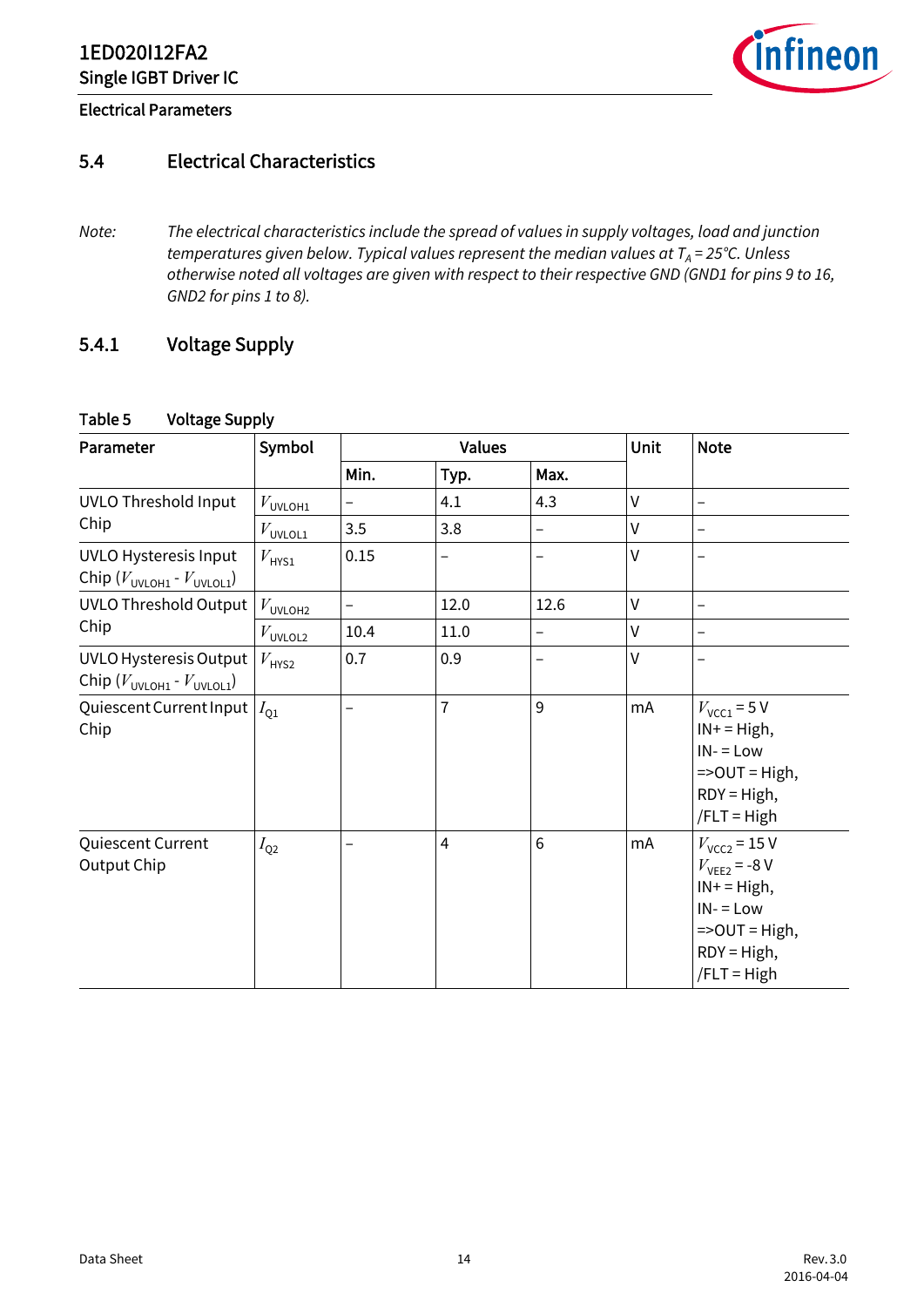

#### Electrical Parameters

## <span id="page-13-0"></span>5.4 Electrical Characteristics

*Note: The electrical characteristics include the spread of values in supply voltages, load and junction temperatures given below. Typical values represent the median values at*  $T_A = 25^{\circ}$ *C. Unless otherwise noted all voltages are given with respect to their respective GND (GND1 for pins 9 to 16, GND2 for pins 1 to 8).*

## <span id="page-13-1"></span>5.4.1 Voltage Supply

#### <span id="page-13-3"></span><span id="page-13-2"></span>Table 5 Voltage Supply

| Parameter                                                                | Symbol              | <b>Unit</b><br><b>Values</b> |                |                   |              | <b>Note</b>                                                                                                                          |
|--------------------------------------------------------------------------|---------------------|------------------------------|----------------|-------------------|--------------|--------------------------------------------------------------------------------------------------------------------------------------|
|                                                                          |                     | Min.                         | Typ.           | Max.              |              |                                                                                                                                      |
| <b>UVLO Threshold Input</b>                                              | $V_{\text{UVLOH1}}$ |                              | 4.1            | 4.3               | V            |                                                                                                                                      |
| Chip                                                                     | $V_{\text{UVLOL1}}$ | 3.5                          | 3.8            |                   | $\mathsf{V}$ | $\overline{\phantom{0}}$                                                                                                             |
| <b>UVLO Hysteresis Input</b><br>Chip $(V_{UVLOH1} - V_{UVLOL1})$         | $V_{\text{HYS1}}$   | 0.15                         | -              |                   | V            |                                                                                                                                      |
| <b>UVLO Threshold Output</b>                                             | $V_{\text{UVLOH2}}$ | $\qquad \qquad -$            | 12.0           | 12.6              | V            | $\overline{\phantom{0}}$                                                                                                             |
| Chip                                                                     | $V_{\text{UVLOL2}}$ | 10.4                         | 11.0           | $\qquad \qquad -$ | $\mathsf{V}$ | -                                                                                                                                    |
| UVLO Hysteresis Output<br>Chip $(V_{\text{UVLOH1}} - V_{\text{UVLOL1}})$ | $V_{\text{HYS2}}$   | 0.7                          | 0.9            |                   | V            |                                                                                                                                      |
| Quiescent Current Input<br>Chip                                          | $I_{01}$            |                              | $\overline{7}$ | 9                 | mA           | $V_{\text{VCC1}}$ = 5 V<br>$IN + = High,$<br>$IN = Low$<br>$=$ > OUT = High,<br>$RDY = High,$<br>$/FLT = High$                       |
| Quiescent Current<br>Output Chip                                         | $I_{\rm Q2}$        |                              | $\overline{4}$ | 6                 | mA           | $V_{\text{VCC2}}$ = 15 V<br>$V_{VEE2}$ = -8 V<br>$IN + = High,$<br>$IN = Low$<br>$=$ > OUT = High,<br>$RDY = High,$<br>$/FLT = High$ |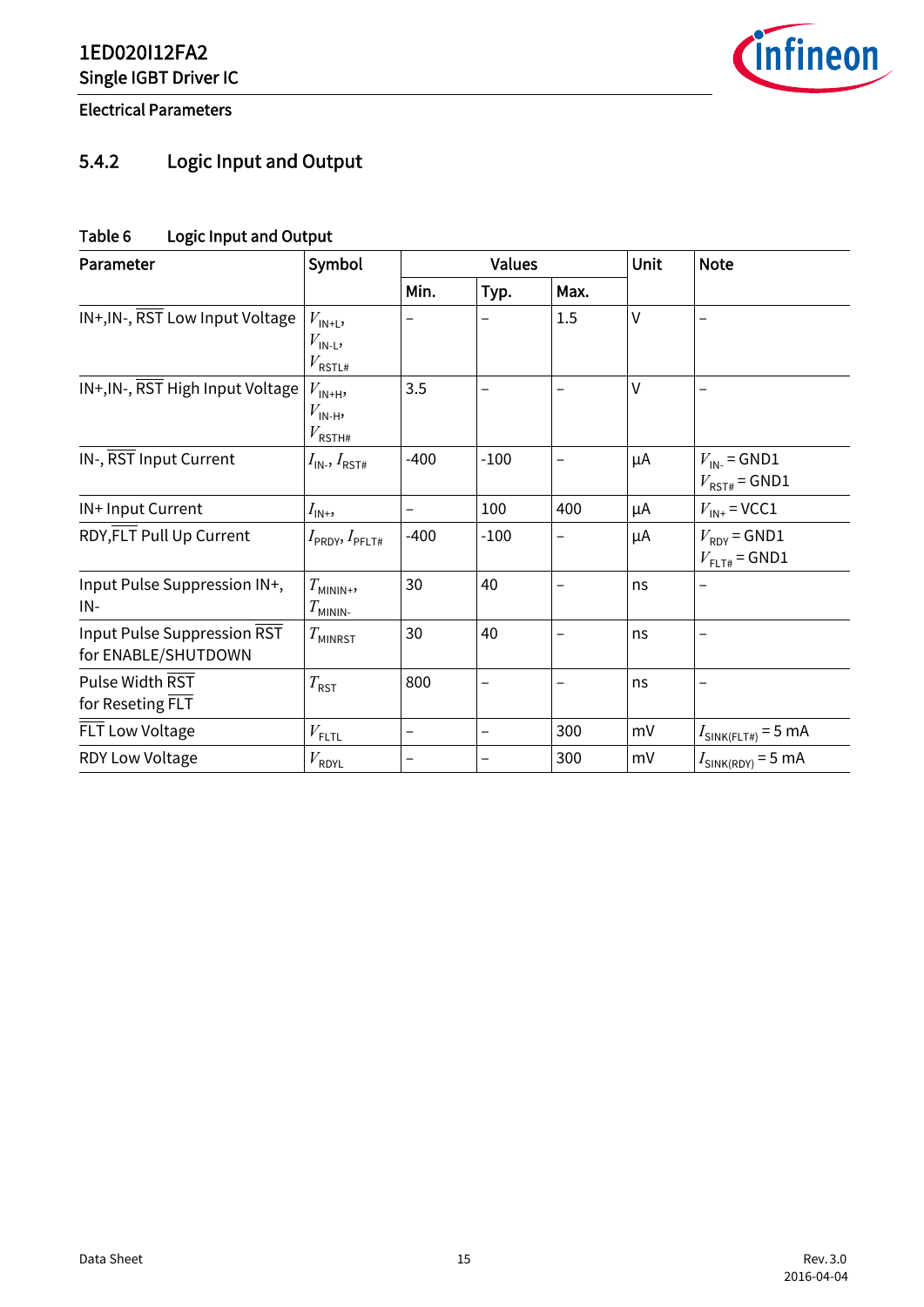

Electrical Parameters

# <span id="page-14-0"></span>5.4.2 Logic Input and Output

## <span id="page-14-2"></span><span id="page-14-1"></span>Table 6 Logic Input and Output

| Parameter                                          | Symbol                                                     | <b>Values</b> |        |      | Unit   | <b>Note</b>                                   |
|----------------------------------------------------|------------------------------------------------------------|---------------|--------|------|--------|-----------------------------------------------|
|                                                    |                                                            | Min.          | Typ.   | Max. |        |                                               |
| IN+, IN-, RST Low Input Voltage                    | $V_{IN+L}$<br>$V_{\text{IN-L}}$<br>$V_{\tt RSTL\#}$        |               |        | 1.5  | $\vee$ |                                               |
| IN+, IN-, RST High Input Voltage                   | $V_{\text{IN+H}}$<br>$V_{\text{IN-H}}$<br>$V_{\rm RSTH\#}$ | 3.5           |        |      | $\vee$ |                                               |
| IN-, RST Input Current                             | $I_{\mathsf{IN}}$ , $I_{\mathsf{RST}\#}$                   | $-400$        | $-100$ |      | μA     | $V_{\text{IN-}}$ = GND1<br>$V_{RST\#}$ = GND1 |
| IN+ Input Current                                  | $I_{\mathsf{IN}^+}$                                        |               | 100    | 400  | μA     | $V_{\text{IN+}}$ = VCC1                       |
| RDY, FLT Pull Up Current                           | $I_{\sf PRDY}, I_{\sf PFLT\#}$                             | $-400$        | $-100$ |      | μA     | $V_{RDY}$ = GND1<br>$V_{\text{FLT#}}$ = GND1  |
| Input Pulse Suppression IN+,<br>IN-                | $T_{MININ+}$<br>$T_{MININ}$                                | 30            | 40     |      | ns     |                                               |
| Input Pulse Suppression RST<br>for ENABLE/SHUTDOWN | $T_{MINRST}$                                               | 30            | 40     |      | ns     | $\overline{\phantom{0}}$                      |
| Pulse Width RST<br>for Reseting FLT                | $T_{\sf RST}$                                              | 800           | -      | -    | ns     | -                                             |
| FLT Low Voltage                                    | $V_{\text{FLTL}}$                                          | —             | -      | 300  | mV     | $I_{\text{SINK}(FLT#)}$ = 5 mA                |
| RDY Low Voltage                                    | $V_{\sf RDYL}$                                             |               |        | 300  | mV     | $I_{\text{SINK(RDY)}}$ = 5 mA                 |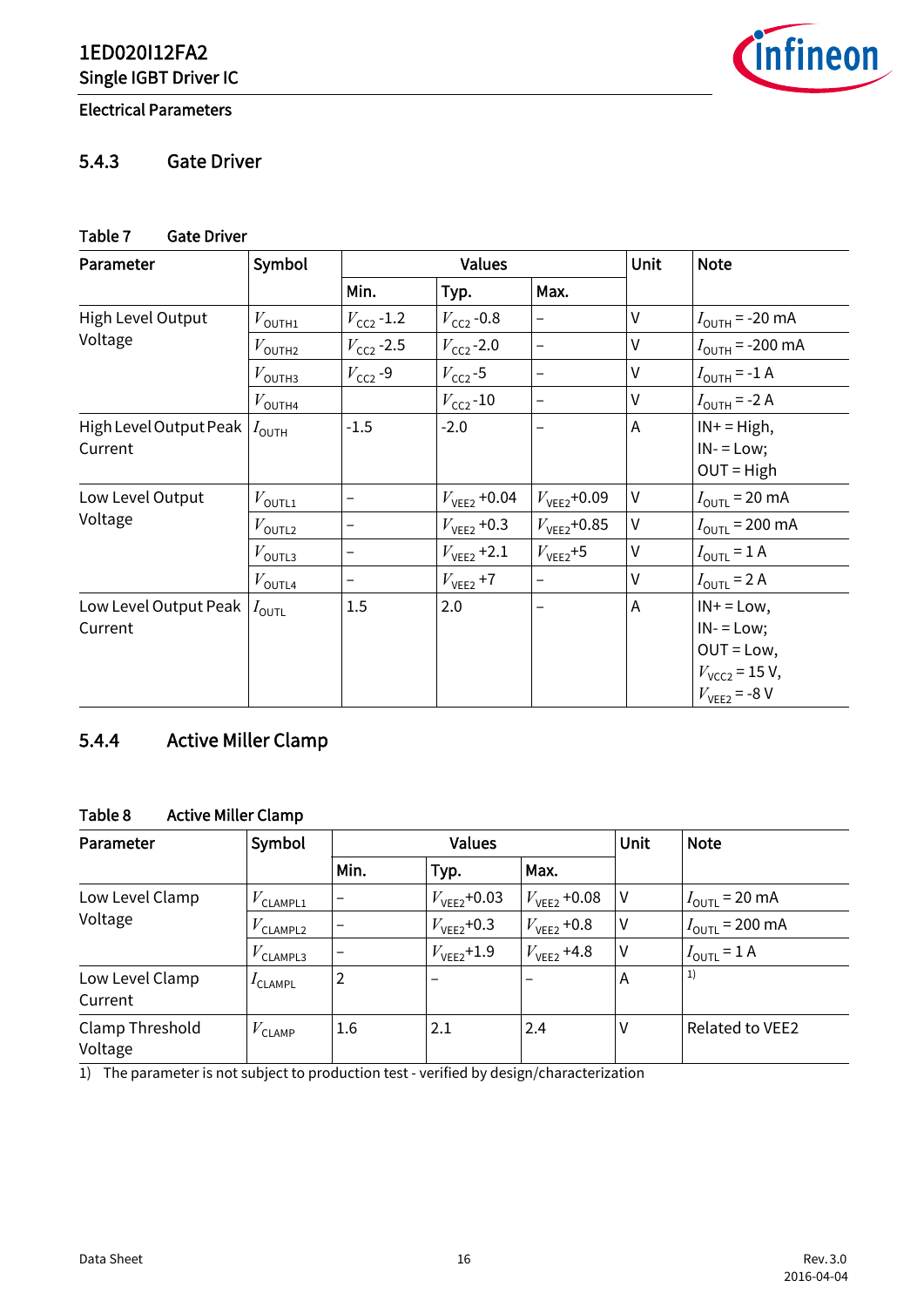**infineon** 

#### Electrical Parameters

#### <span id="page-15-0"></span>5.4.3 Gate Driver

#### <span id="page-15-4"></span><span id="page-15-2"></span>Table 7 Gate Driver

| Parameter                         | Symbol               |                     | <b>Values</b>           | Unit                     | <b>Note</b> |                                                                                                |
|-----------------------------------|----------------------|---------------------|-------------------------|--------------------------|-------------|------------------------------------------------------------------------------------------------|
|                                   |                      | Min.                | Typ.                    | Max.                     |             |                                                                                                |
| High Level Output                 | $V_{\text{OUTH1}}$   | $V_{\rm CC2}$ -1.2  | $V_{\text{CC2}}$ -0.8   | $\overline{\phantom{0}}$ | V           | $I_{\text{OUTH}}$ = -20 mA                                                                     |
| Voltage                           | $V_{\text{OUTH2}}$   | $V_{\rm CC2}$ -2.5  | $V_{CC2}$ -2.0          | $\qquad \qquad -$        | V           | $I_{\text{OUTH}}$ = -200 mA                                                                    |
|                                   | $V_{\text{OUTH3}}$   | $V_{\text{CC2}}$ -9 | $V_{\text{CC2}}$ -5     | -                        | $\vee$      | $I_{\text{OUTH}}$ = -1 A                                                                       |
|                                   | $V_{\mathsf{OUTH4}}$ |                     | $V_{\text{CC2}}$ -10    | $\qquad \qquad -$        | V           | $I_{\text{OUTH}}$ = -2 A                                                                       |
| High Level Output Peak<br>Current | $I_{\text{OUTH}}$    | $-1.5$              | $-2.0$                  |                          | Α           | $IN + = High$ ,<br>$IN = Low;$<br>$OUT = High$                                                 |
| Low Level Output                  | $V_{\text{OUTL1}}$   | -                   | $V_{\text{VEE2}}$ +0.04 | $V_{VEE2}$ +0.09         | V           | $I_{\text{OUTL}}$ = 20 mA                                                                      |
| Voltage                           | $V_{\text{OUTL2}}$   | -                   | $V_{\text{VEE2}}$ +0.3  | $V_{VFF2}$ +0.85         | V           | $I_{\text{OUTL}}$ = 200 mA                                                                     |
|                                   | $V_{\mathsf{OUTL3}}$ | -                   | $V_{\text{VEE2}}$ +2.1  | $V_{VEE2}$ +5            | V           | $I_{\text{OUTL}} = 1 \text{ A}$                                                                |
|                                   | $V_{\text{OUTL4}}$   | -                   | $V_{\text{VEE2}}$ +7    | $\qquad \qquad -$        | V           | $I_{\text{OUTL}}$ = 2 A                                                                        |
| Low Level Output Peak<br>Current  | $I_{\mathsf{OUTL}}$  | 1.5                 | 2.0                     |                          | Α           | $IN + = Low,$<br>$IN = Low;$<br>$OUT = Low,$<br>$V_{\text{VCC2}}$ = 15 V,<br>$V_{VEE2}$ = -8 V |

## <span id="page-15-1"></span>5.4.4 Active Miller Clamp

## <span id="page-15-5"></span><span id="page-15-3"></span>Table 8 Active Miller Clamp

| Parameter                  | Symbol               |                          | <b>Values</b>          |                         |   | <b>Note</b>                     |
|----------------------------|----------------------|--------------------------|------------------------|-------------------------|---|---------------------------------|
|                            |                      | Min.                     | Typ.                   | Max.                    |   |                                 |
| Low Level Clamp            | $V_{\text{CLAMPL1}}$ |                          | $V_{VEE2}$ +0.03       | $V_{\text{VEE2}}$ +0.08 | V | $I_{\text{OUTL}}$ = 20 mA       |
| Voltage                    | $V_{\text{CLAMPL2}}$ |                          | $V_{VEE2}$ +0.3        | $V_{\text{VEE2}}$ +0.8  | ٧ | $I_{\text{OUTL}}$ = 200 mA      |
|                            | $V_{\text{CLAMPL3}}$ | $\overline{\phantom{0}}$ | $V_{\text{VEE2}}$ +1.9 | $V_{\text{VEE2}}$ +4.8  | V | $I_{\text{OUTL}} = 1 \text{ A}$ |
| Low Level Clamp<br>Current | $I$ CLAMPL           | 2                        | $\qquad \qquad$        |                         | A | 1)                              |
| Clamp Threshold<br>Voltage | $V_{\text{CLAMP}}$   | 1.6                      | 2.1                    | 2.4                     | v | Related to VEE2                 |

1) The parameter is not subject to production test - verified by design/characterization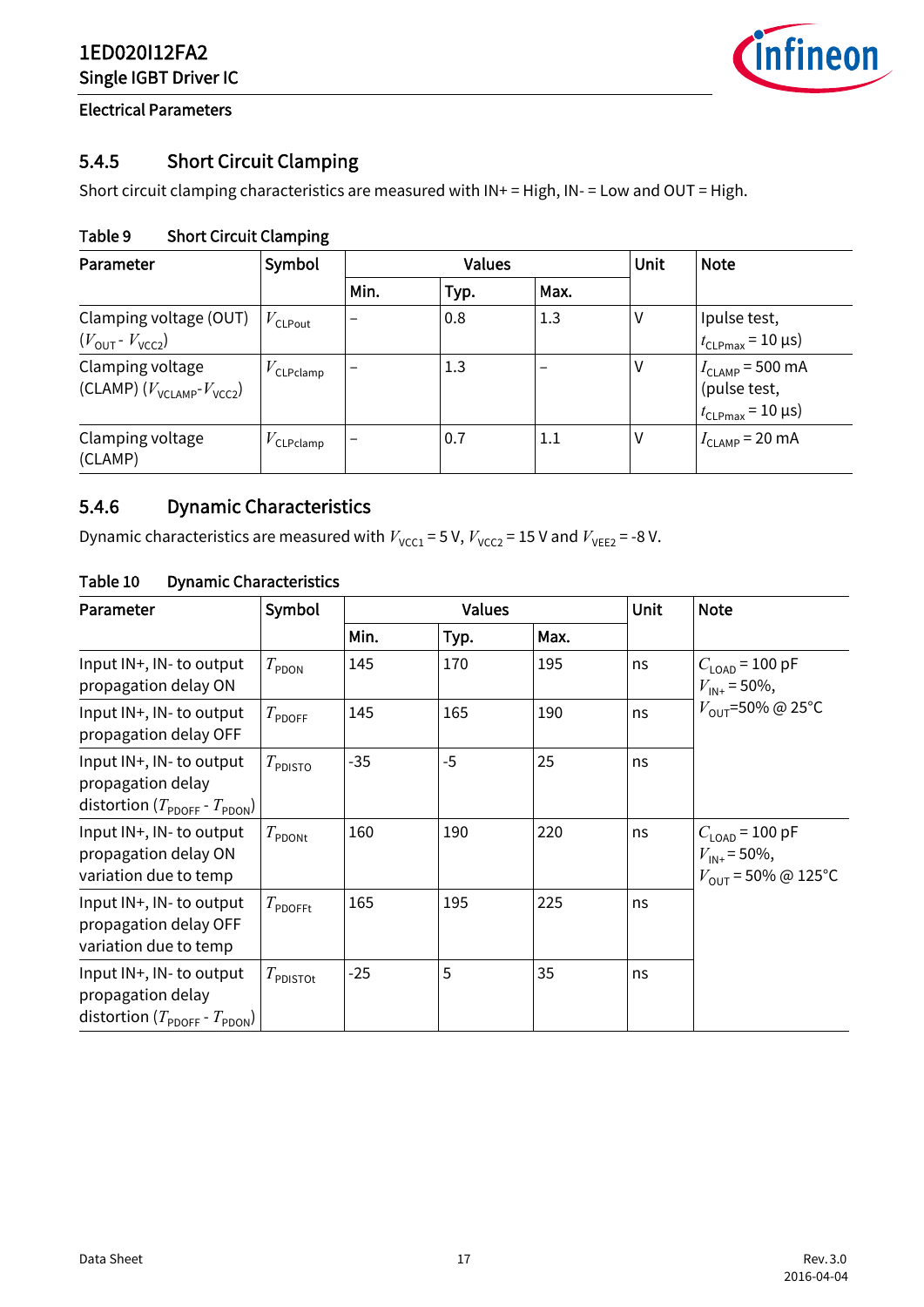![](_page_16_Picture_1.jpeg)

Electrical Parameters

## <span id="page-16-0"></span>5.4.5 Short Circuit Clamping

Short circuit clamping characteristics are measured with IN+ = High, IN- = Low and OUT = High.

#### <span id="page-16-4"></span><span id="page-16-2"></span>Table 9 Short Circuit Clamping

| Parameter                                                             | Symbol                | <b>Values</b>            |      |         | Unit | <b>Note</b>                                                                 |
|-----------------------------------------------------------------------|-----------------------|--------------------------|------|---------|------|-----------------------------------------------------------------------------|
|                                                                       |                       | Min.                     | Typ. | Max.    |      |                                                                             |
| Clamping voltage (OUT)<br>$(V_{\text{OUT}} - V_{\text{VCC2}})$        | $V_{\text{CLPout}}$   |                          | 0.8  | 1.3     | ٧    | Ipulse test,<br>$t_{\text{CLPmax}}$ = 10 µs)                                |
| Clamping voltage<br>(CLAMP) $(V_{\text{VCLAMP}}$ - $V_{\text{VCC2}})$ | $V_{\text{CLPclamp}}$ |                          | 1.3  |         | ٧    | $I_{\text{CLAMP}}$ = 500 mA<br>(pulse test,<br>$t_{\text{CLPmax}}$ = 10 µs) |
| Clamping voltage<br>(CLAMP)                                           | $V$ CLPclamp          | $\overline{\phantom{0}}$ | 0.7  | $1.1\,$ | ٧    | $I_{CLAMP}$ = 20 mA                                                         |

## <span id="page-16-1"></span>5.4.6 Dynamic Characteristics

Dynamic characteristics are measured with  $V_{\text{VCC1}} = 5$  V,  $V_{\text{VCC2}} = 15$  V and  $V_{\text{VEE2}} = -8$  V.

| Parameter                                                                                              | Symbol                |       | <b>Values</b> |      |    | <b>Note</b>                                                                             |
|--------------------------------------------------------------------------------------------------------|-----------------------|-------|---------------|------|----|-----------------------------------------------------------------------------------------|
|                                                                                                        |                       | Min.  | Typ.          | Max. |    |                                                                                         |
| Input IN+, IN- to output<br>propagation delay ON                                                       | $T_{\sf PDOM}$        | 145   | 170           | 195  | ns | $C_{\text{LOAD}}$ = 100 pF<br>$V_{\text{IN+}}$ = 50%,                                   |
| Input IN+, IN- to output<br>propagation delay OFF                                                      | $T_{\mathsf{PDOFF}}$  | 145   | 165           | 190  | ns | $V_{\text{OUT}}$ =50% @ 25°C                                                            |
| Input IN+, IN- to output<br>propagation delay<br>distortion ( $T_{\text{PDOFF}}$ - $T_{\text{PDOM}}$ ) | $T_{\rm PDISTO}$      | $-35$ | $-5$          | 25   | ns |                                                                                         |
| Input IN+, IN- to output<br>propagation delay ON<br>variation due to temp                              | $T_{\text{PDONt}}$    | 160   | 190           | 220  | ns | $C_{\text{LOAD}}$ = 100 pF<br>$V_{\text{IN+}}$ = 50%,<br>$V_{\text{OUT}}$ = 50% @ 125°C |
| Input IN+, IN- to output<br>propagation delay OFF<br>variation due to temp                             | $T_{\mathsf{PDOFFt}}$ | 165   | 195           | 225  | ns |                                                                                         |
| Input IN+, IN- to output<br>propagation delay<br>distortion ( $T_{\text{PDOFF}}$ - $T_{\text{PDON}}$ ) | $T_{\rm PDISTOt}$     | $-25$ | 5             | 35   | ns |                                                                                         |

#### <span id="page-16-5"></span><span id="page-16-3"></span>Table 10 Dynamic Characteristics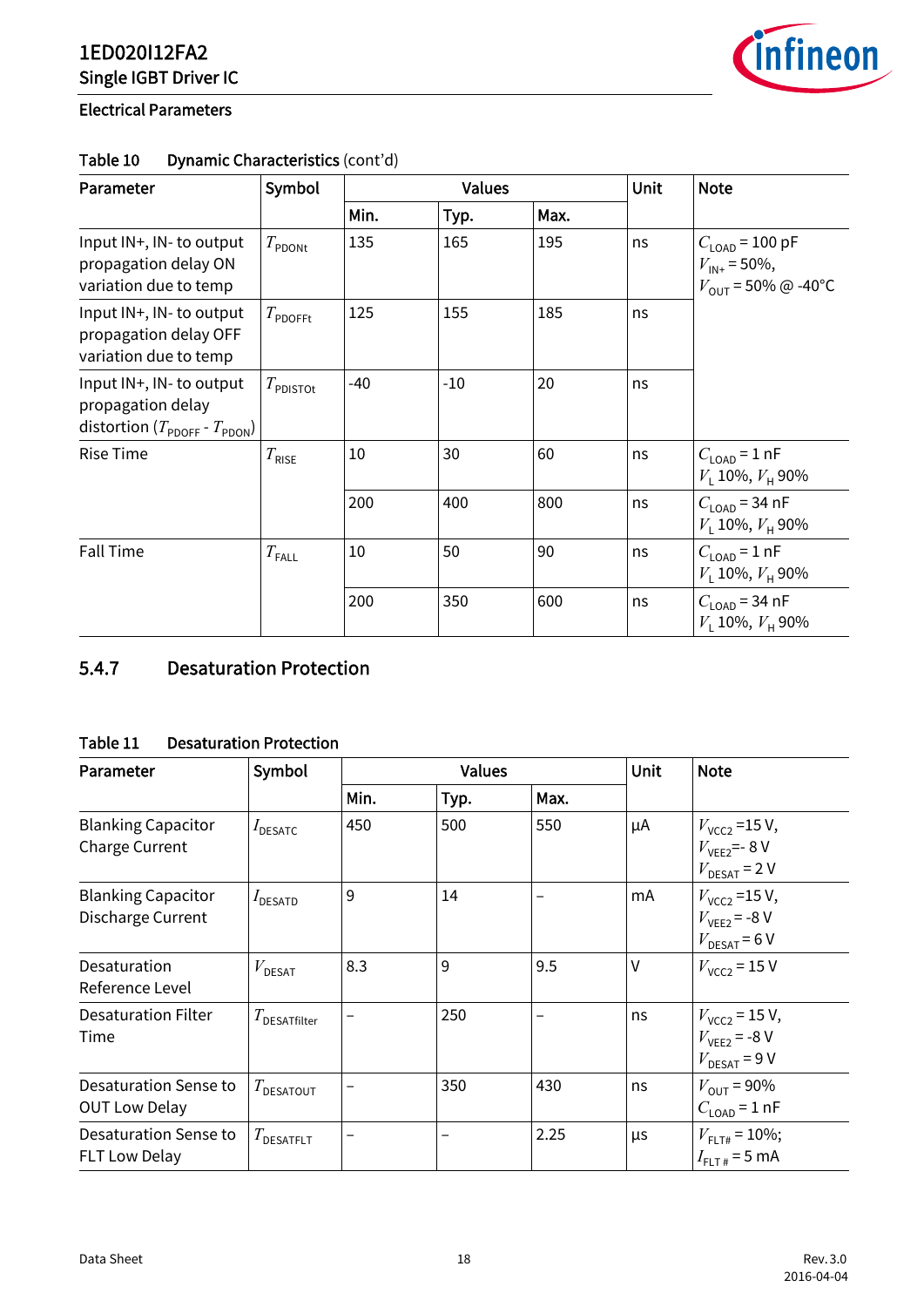![](_page_17_Picture_1.jpeg)

#### Electrical Parameters

| Parameter                                                                                              | Symbol                |       | <b>Values</b> |      |    | <b>Note</b>                                                                             |
|--------------------------------------------------------------------------------------------------------|-----------------------|-------|---------------|------|----|-----------------------------------------------------------------------------------------|
|                                                                                                        |                       | Min.  | Typ.          | Max. |    |                                                                                         |
| Input IN+, IN- to output<br>propagation delay ON<br>variation due to temp                              | $T_{\sf PDOM}$        | 135   | 165           | 195  | ns | $C_{\text{LOAD}}$ = 100 pF<br>$V_{\text{IN+}}$ = 50%,<br>$V_{\text{OUT}}$ = 50% @ -40°C |
| Input IN+, IN- to output<br>propagation delay OFF<br>variation due to temp                             | $T_{\mathsf{PDOFFt}}$ | 125   | 155           | 185  | ns |                                                                                         |
| Input IN+, IN- to output<br>propagation delay<br>distortion ( $T_{\text{PDOFF}}$ - $T_{\text{PDON}}$ ) | $T_{\text{PDISTOt}}$  | $-40$ | $-10$         | 20   | ns |                                                                                         |
| <b>Rise Time</b>                                                                                       | $T_{\text{RISE}}$     | 10    | 30            | 60   | ns | $C_{\text{LOAD}}$ = 1 nF<br>$V_1$ 10%, $V_{\rm H}$ 90%                                  |
|                                                                                                        |                       | 200   | 400           | 800  | ns | $C_{\text{LOAD}}$ = 34 nF<br>$V_1$ 10%, $V_{\rm H}$ 90%                                 |
| <b>Fall Time</b>                                                                                       | $T_{\sf FALL}$        | 10    | 50            | 90   | ns | $C1$ <sub>OAD</sub> = 1 nF<br>$V_1$ 10%, $V_{\rm H}$ 90%                                |
|                                                                                                        |                       | 200   | 350           | 600  | ns | $C_{\text{LOAD}}$ = 34 nF<br>$V_1$ 10%, $V_{\rm H}$ 90%                                 |

#### Table 10 Dynamic Characteristics (cont'd)

## <span id="page-17-0"></span>5.4.7 Desaturation Protection

#### <span id="page-17-2"></span><span id="page-17-1"></span>Table 11 Desaturation Protection

| Parameter                                          | Symbol                  |      | <b>Values</b> |      |    | <b>Note</b>                                                                |
|----------------------------------------------------|-------------------------|------|---------------|------|----|----------------------------------------------------------------------------|
|                                                    |                         | Min. | Typ.          | Max. |    |                                                                            |
| <b>Blanking Capacitor</b><br><b>Charge Current</b> | $I_{\text{DESATC}}$     | 450  | 500           | 550  | μA | $V_{VCC2}$ =15 V,<br>$V_{VFF2}$ =-8V<br>$V_{\text{DESAT}}$ = 2 V           |
| <b>Blanking Capacitor</b><br>Discharge Current     | $I_{\text{DESATD}}$     | 9    | 14            |      | mA | $V_{\text{VCC2}}$ =15 V,<br>$V_{VEE2}$ = -8 V<br>$V_{\text{DESAT}}$ = 6 V  |
| Desaturation<br>Reference Level                    | $V_{\texttt{DESAT}}$    | 8.3  | 9             | 9.5  | V  | $V_{VCC2}$ = 15 V                                                          |
| <b>Desaturation Filter</b><br>Time                 | $T_{\sf DESATfilter}$   |      | 250           |      | ns | $V_{\text{VCC2}}$ = 15 V,<br>$V_{VFF2}$ = -8 V<br>$V_{\text{DESAT}}$ = 9 V |
| Desaturation Sense to<br><b>OUT Low Delay</b>      | $T_{\texttt{DESATOUT}}$ | -    | 350           | 430  | ns | $V_{\text{OUT}} = 90\%$<br>$C_{\text{LOAD}}$ = 1 nF                        |
| Desaturation Sense to<br><b>FLT Low Delay</b>      | $T_{\tt DESATFLT}$      |      |               | 2.25 | μs | $V_{\text{FI T#}}$ = 10%;<br>$I_{FLT\#}$ = 5 mA                            |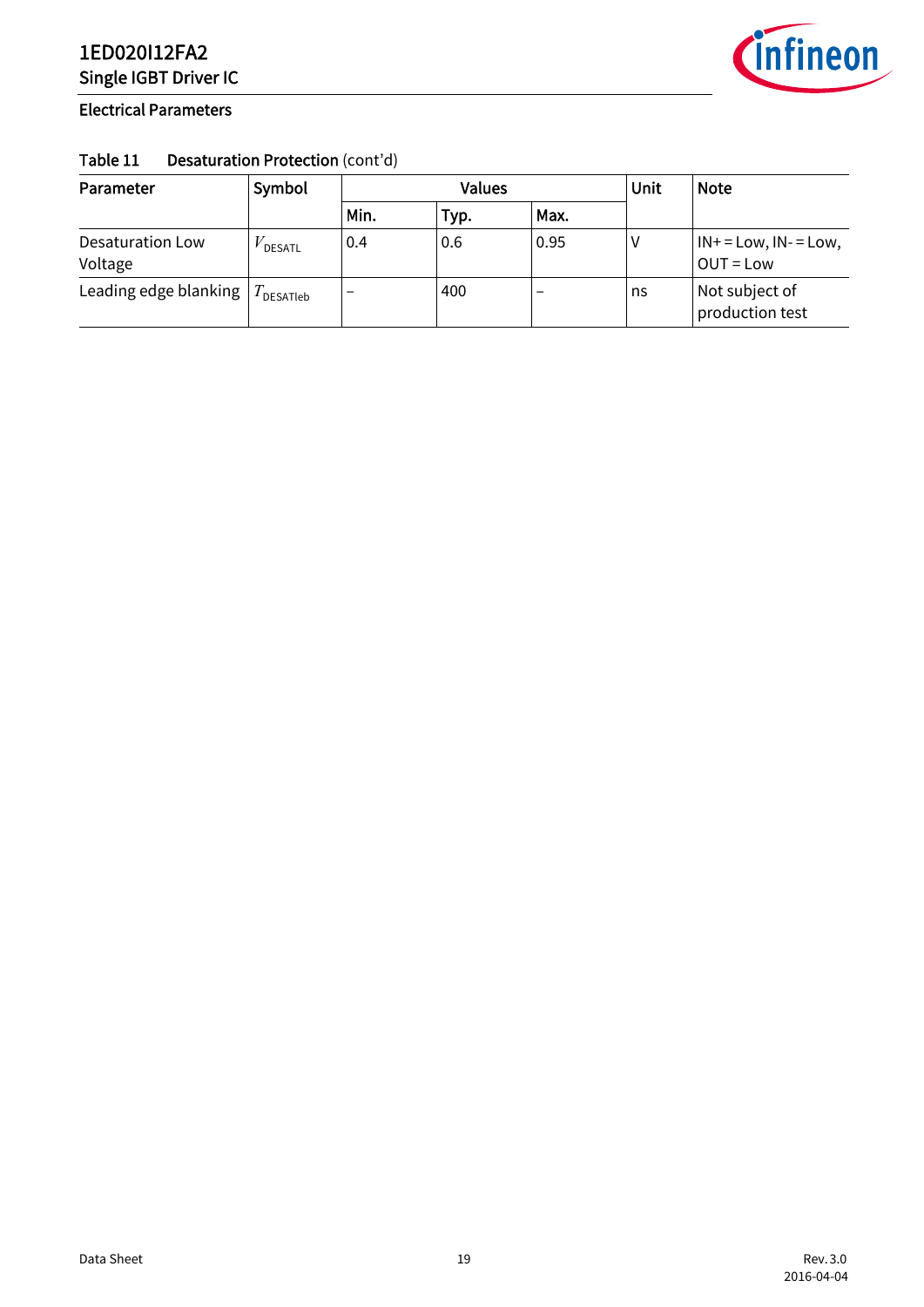![](_page_18_Picture_1.jpeg)

#### Electrical Parameters

#### Table 11 Desaturation Protection (cont'd)

| Parameter                   | Symbol       |      | <b>Values</b> |      |    | <b>Note</b>                              |
|-----------------------------|--------------|------|---------------|------|----|------------------------------------------|
|                             |              | Min. | Typ.          | Max. |    |                                          |
| Desaturation Low<br>Voltage | DESATL       | 0.4  | 0.6           | 0.95 |    | $IN + = Low, IN - = Low,$<br>$OUT = Low$ |
| Leading edge blanking       | $I$ DESATIeb | -    | 400           |      | ns | Not subject of<br>production test        |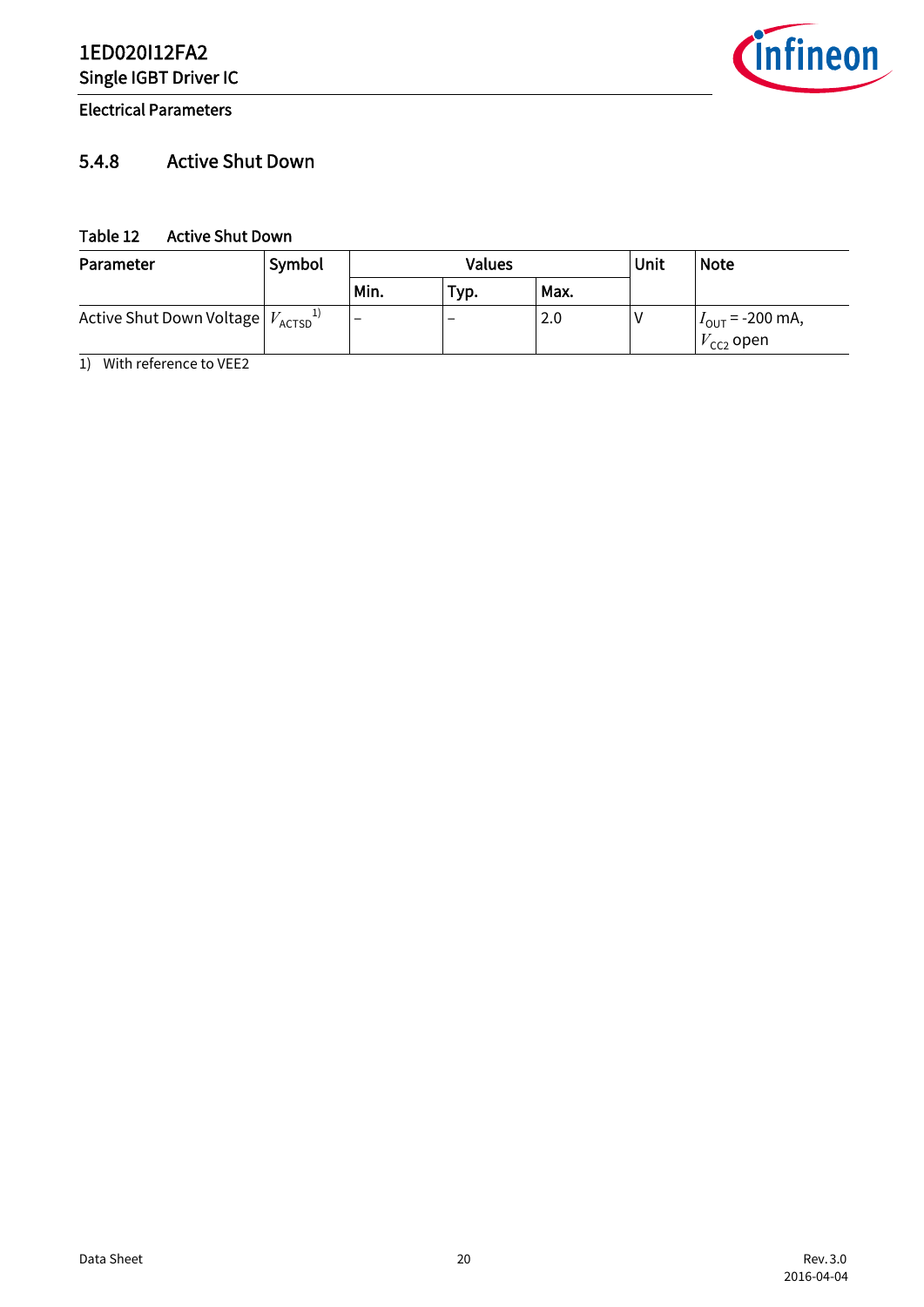Electrical Parameters

# *infineon*

## <span id="page-19-0"></span>5.4.8 Active Shut Down

#### <span id="page-19-2"></span><span id="page-19-1"></span>Table 12 Active Shut Down

| Parameter                                       | Symbol |      | Values                   | Unit | <b>Note</b> |                                                           |
|-------------------------------------------------|--------|------|--------------------------|------|-------------|-----------------------------------------------------------|
|                                                 |        | Min. | Typ.                     | Max. |             |                                                           |
| Active Shut Down Voltage $V_{\text{ACTSD}}^{1}$ |        | -    | $\overline{\phantom{0}}$ | 2.0  |             | $I_{\text{OUT}}$ = -200 mA,<br>$V^{}_{\mathsf{CC2}}$ open |

1) With reference to VEE2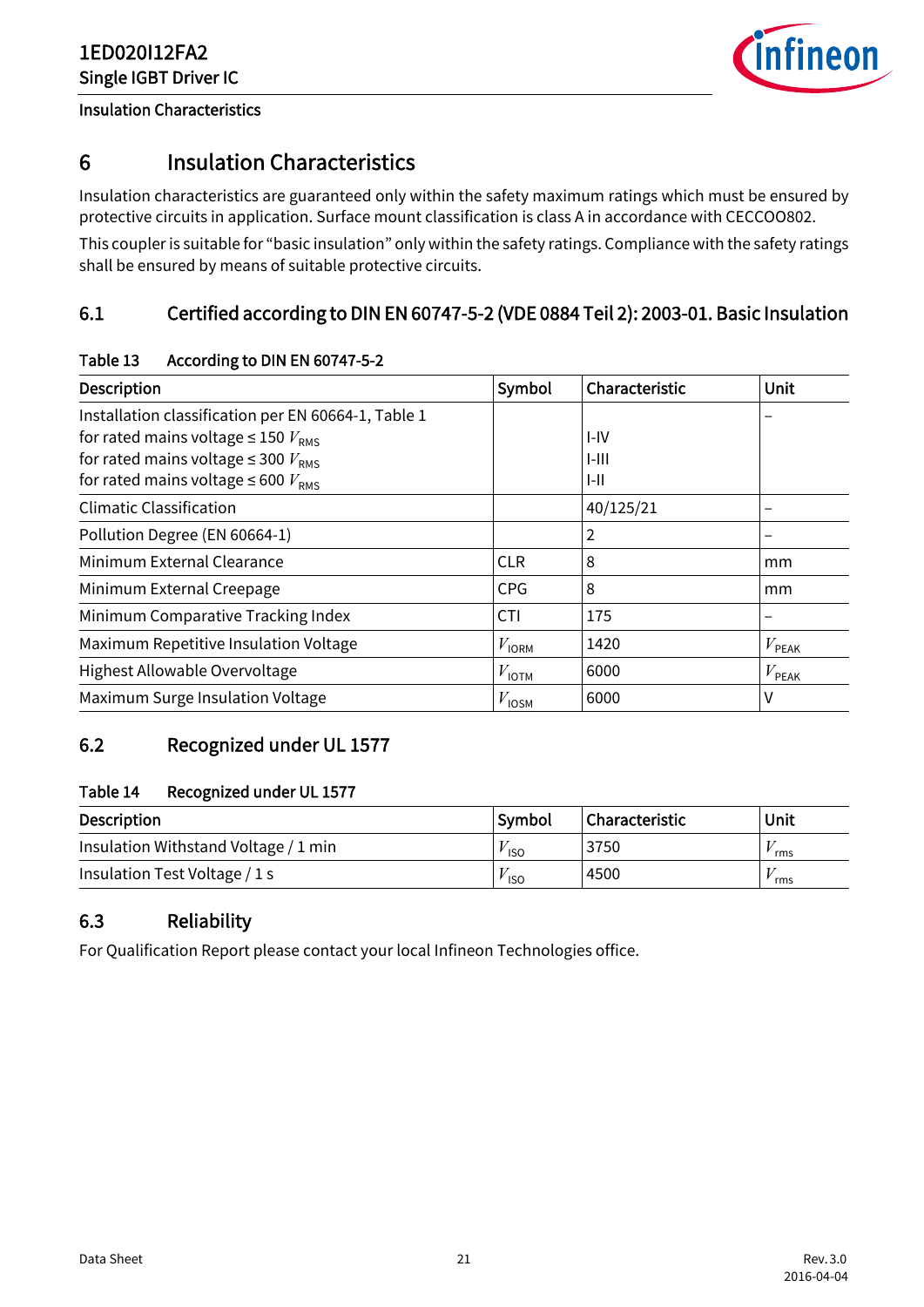![](_page_20_Picture_1.jpeg)

#### Insulation Characteristics

## <span id="page-20-0"></span>6 Insulation Characteristics

Insulation characteristics are guaranteed only within the safety maximum ratings which must be ensured by protective circuits in application. Surface mount classification is class A in accordance with CECCOO802. This coupler is suitable for "basic insulation" only within the safety ratings. Compliance with the safety ratings shall be ensured by means of suitable protective circuits.

## <span id="page-20-1"></span>6.1 Certified according to DIN EN 60747-5-2 (VDE 0884 Teil 2): 2003-01. Basic Insulation

| <b>Description</b>                                  | Symbol            | Characteristic | Unit           |
|-----------------------------------------------------|-------------------|----------------|----------------|
| Installation classification per EN 60664-1, Table 1 |                   |                |                |
| for rated mains voltage $\leq$ 150 $V_{\text{RMS}}$ |                   | $I-IV$         |                |
| for rated mains voltage $\leq$ 300 $V_{\text{RMS}}$ |                   | $I-III$        |                |
| for rated mains voltage $\leq 600 V_{RMS}$          |                   | $I - II$       |                |
| <b>Climatic Classification</b>                      |                   | 40/125/21      |                |
| Pollution Degree (EN 60664-1)                       |                   | 2              |                |
| Minimum External Clearance                          | <b>CLR</b>        | 8              | mm             |
| Minimum External Creepage                           | <b>CPG</b>        | 8              | mm             |
| Minimum Comparative Tracking Index                  | <b>CTI</b>        | 175            |                |
| Maximum Repetitive Insulation Voltage               | $V_{\text{IORM}}$ | 1420           | $V_{\sf PEAK}$ |
| Highest Allowable Overvoltage                       | $V_{\text{IOTM}}$ | 6000           | $V_{\sf PEAK}$ |
| Maximum Surge Insulation Voltage                    | $V_{\text{IOSM}}$ | 6000           | ٧              |

#### <span id="page-20-4"></span>Table 13 According to DIN EN 60747-5-2

## <span id="page-20-2"></span>6.2 Recognized under UL 1577

#### <span id="page-20-5"></span>Table 14 Recognized under UL 1577

| <b>Description</b>                   | Symbol     | Characteristic | Unit |
|--------------------------------------|------------|----------------|------|
| Insulation Withstand Voltage / 1 min | <b>ISO</b> | 3750           | rms  |
| Insulation Test Voltage / 1 s        | <b>ISO</b> | 4500           | rms  |

## <span id="page-20-3"></span>6.3 Reliability

For Qualification Report please contact your local Infineon Technologies office.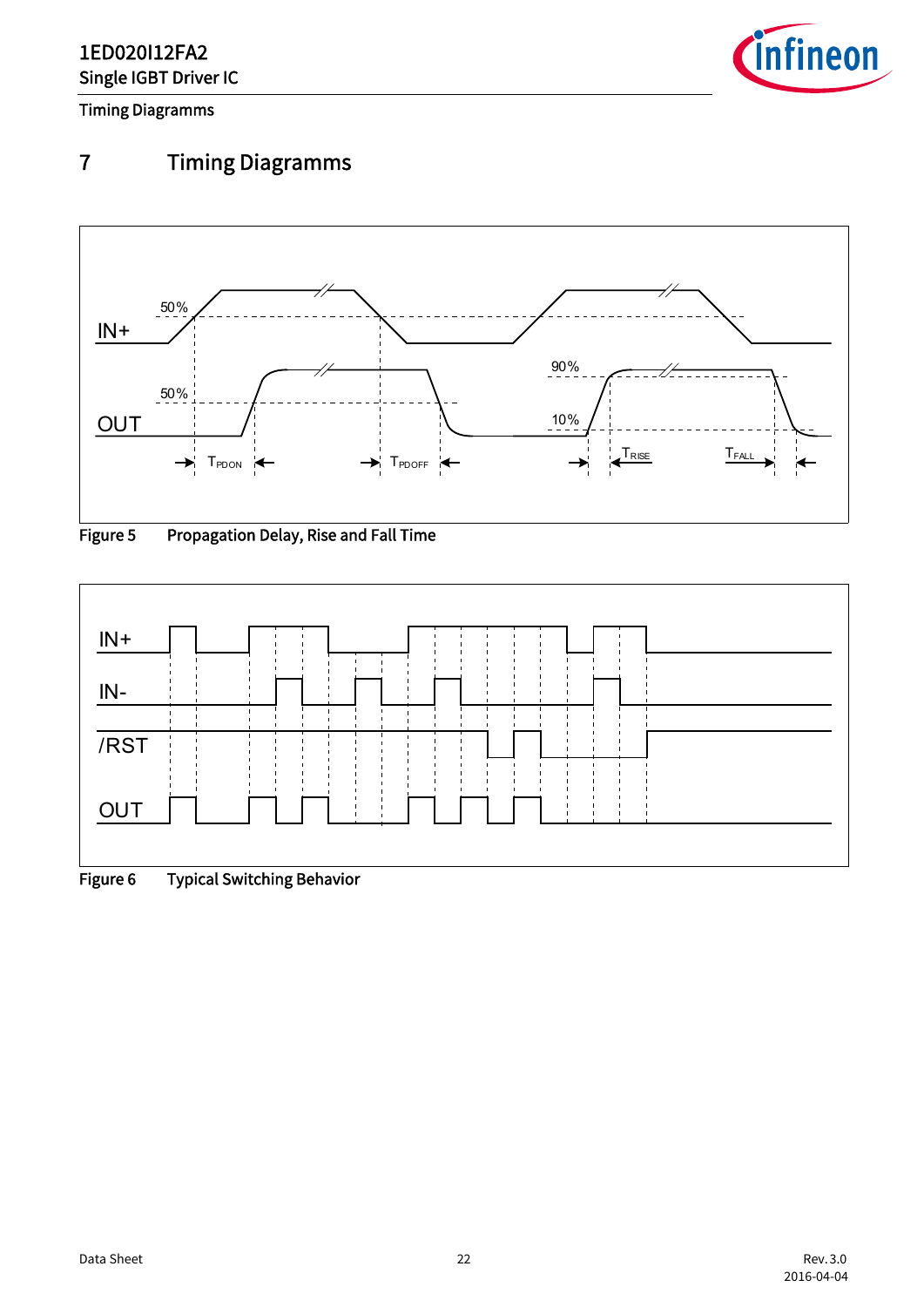![](_page_21_Picture_1.jpeg)

Timing Diagramms

# <span id="page-21-0"></span>7 Timing Diagramms

![](_page_21_Figure_4.jpeg)

<span id="page-21-1"></span>![](_page_21_Figure_5.jpeg)

<span id="page-21-2"></span>![](_page_21_Figure_6.jpeg)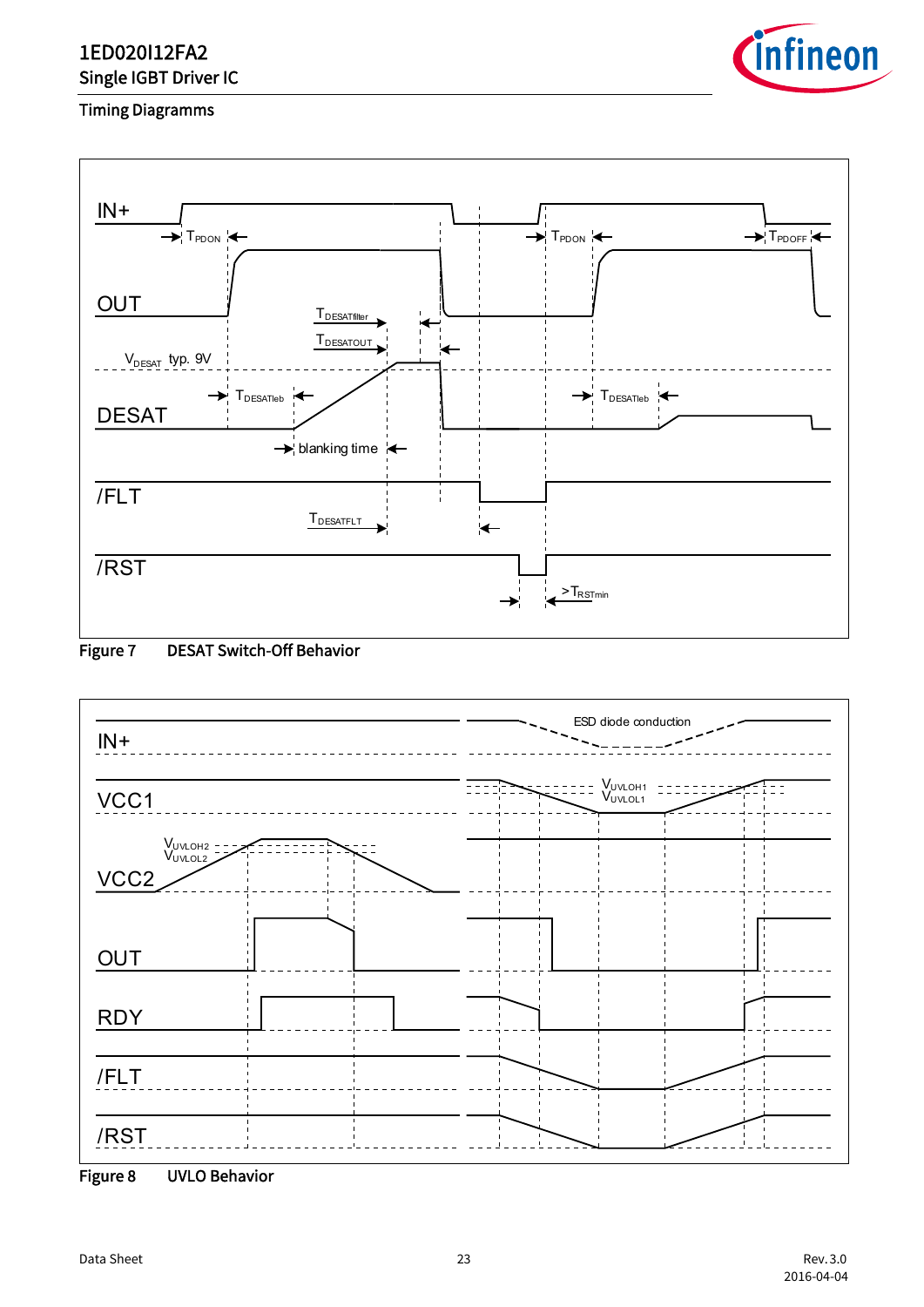![](_page_22_Picture_1.jpeg)

#### Timing Diagramms

![](_page_22_Figure_3.jpeg)

#### <span id="page-22-0"></span>Figure 7 DESAT Switch-Off Behavior

![](_page_22_Figure_5.jpeg)

<span id="page-22-1"></span>![](_page_22_Figure_6.jpeg)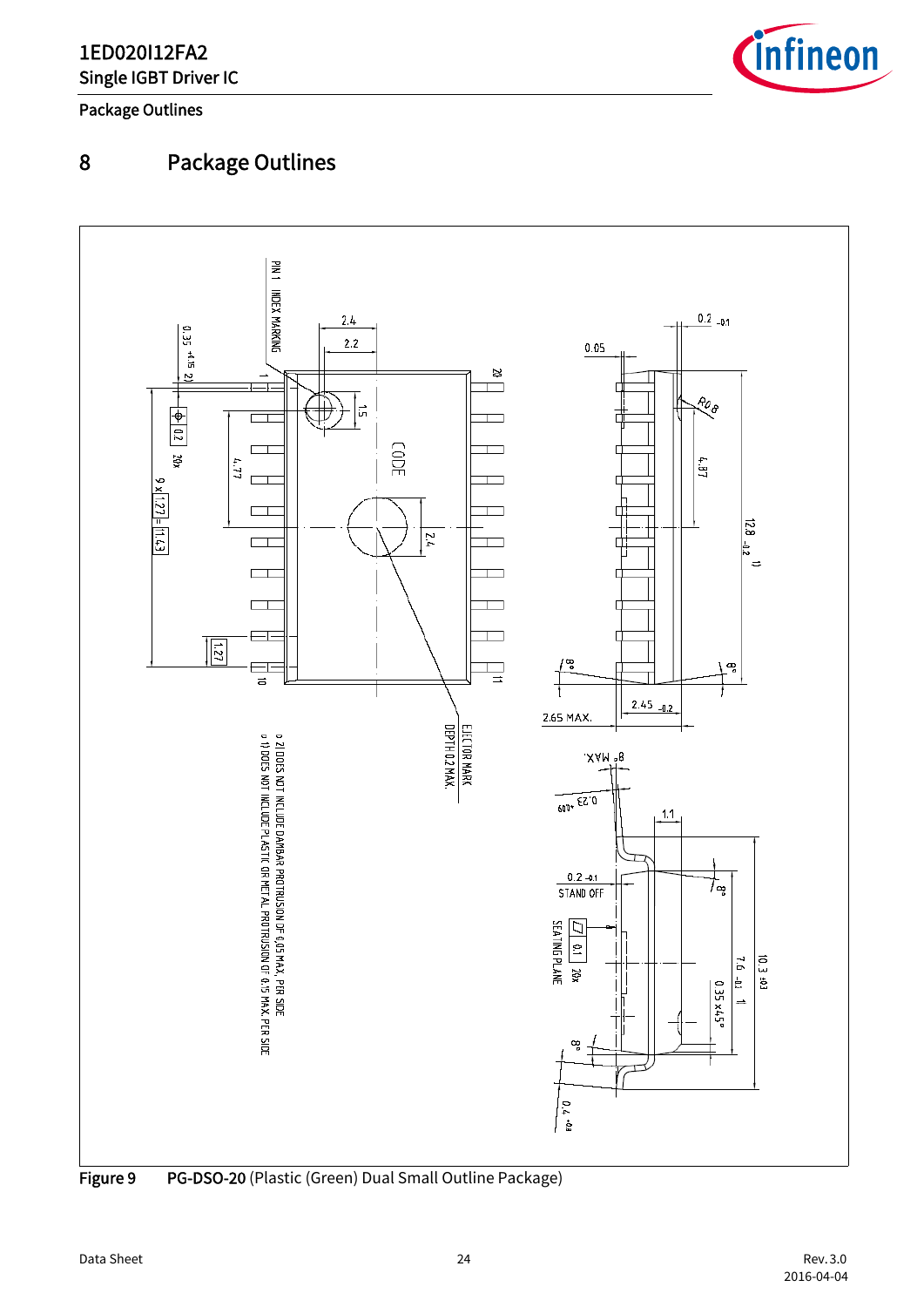![](_page_23_Picture_1.jpeg)

Package Outlines

# <span id="page-23-0"></span>8 Package Outlines

<span id="page-23-1"></span>![](_page_23_Figure_4.jpeg)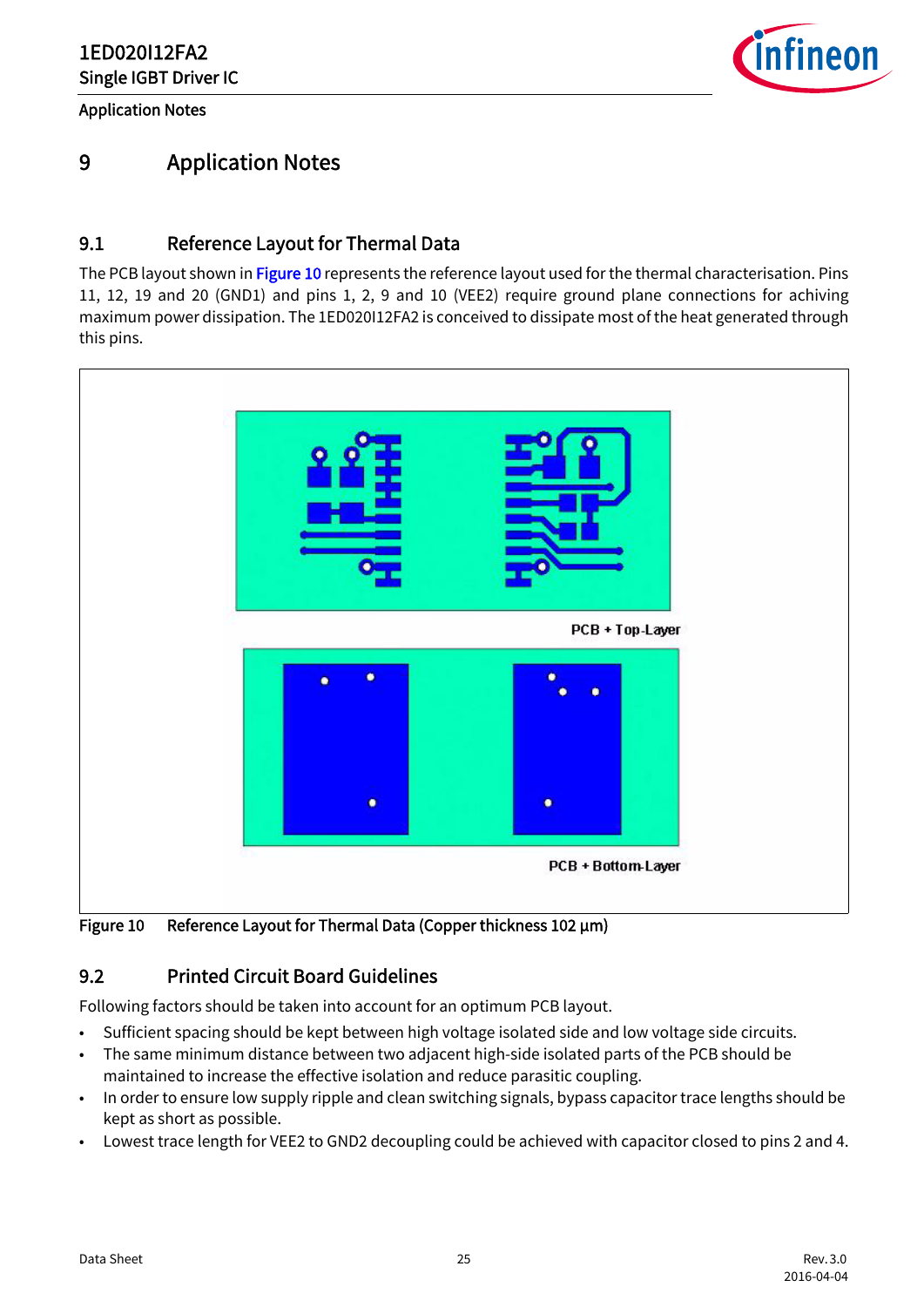Application Notes

![](_page_24_Picture_2.jpeg)

## <span id="page-24-0"></span>9 Application Notes

#### <span id="page-24-1"></span>9.1 Reference Layout for Thermal Data

The PCB layout shown in [Figure 10](#page-24-3) represents the reference layout used for the thermal characterisation. Pins 11, 12, 19 and 20 (GND1) and pins 1, 2, 9 and 10 (VEE2) require ground plane connections for achiving maximum power dissipation. The 1ED020I12FA2 is conceived to dissipate most of the heat generated through this pins.

![](_page_24_Figure_6.jpeg)

<span id="page-24-3"></span>Figure 10 Reference Layout for Thermal Data (Copper thickness 102 μm)

#### <span id="page-24-2"></span>9.2 Printed Circuit Board Guidelines

Following factors should be taken into account for an optimum PCB layout.

- Sufficient spacing should be kept between high voltage isolated side and low voltage side circuits.
- The same minimum distance between two adjacent high-side isolated parts of the PCB should be maintained to increase the effective isolation and reduce parasitic coupling.
- In order to ensure low supply ripple and clean switching signals, bypass capacitor trace lengths should be kept as short as possible.
- Lowest trace length for VEE2 to GND2 decoupling could be achieved with capacitor closed to pins 2 and 4.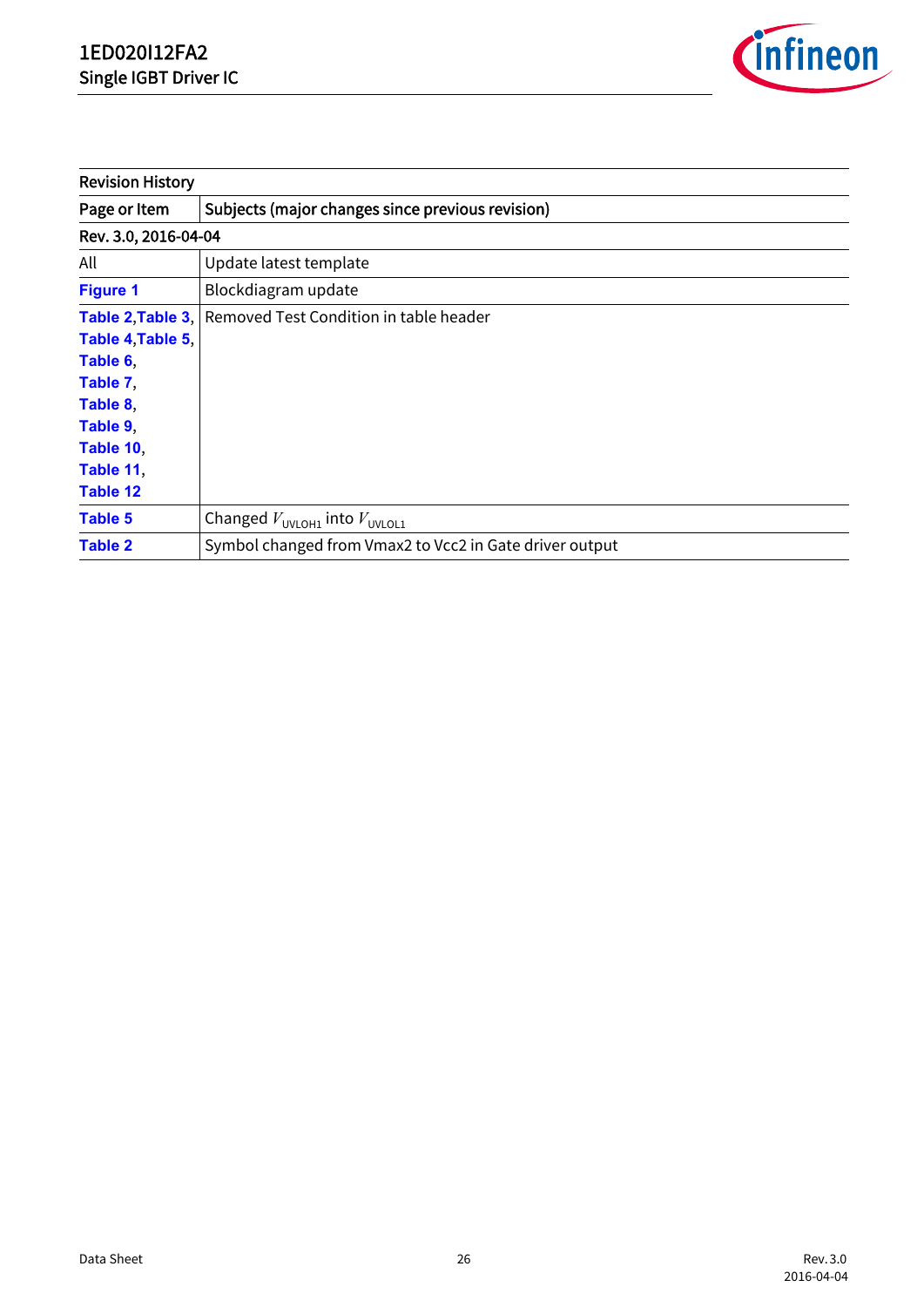![](_page_25_Picture_1.jpeg)

| <b>Revision History</b>                                                                                 |                                                          |
|---------------------------------------------------------------------------------------------------------|----------------------------------------------------------|
| Page or Item                                                                                            | Subjects (major changes since previous revision)         |
| Rev. 3.0, 2016-04-04                                                                                    |                                                          |
| All                                                                                                     | Update latest template                                   |
| <b>Figure 1</b>                                                                                         | Blockdiagram update                                      |
| Table 4, Table 5,<br>Table 6,<br>Table 7,<br>Table 8,<br>Table 9,<br>Table 10,<br>Table 11,<br>Table 12 | Table 2, Table 3, Removed Test Condition in table header |
| <b>Table 5</b>                                                                                          | Changed $V_{UVLOH1}$ into $V_{UVLOL1}$                   |
| <b>Table 2</b>                                                                                          | Symbol changed from Vmax2 to Vcc2 in Gate driver output  |